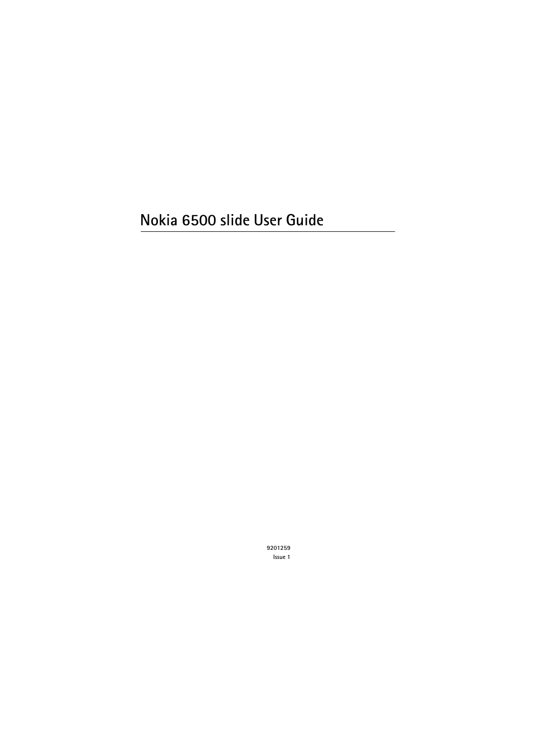# **Nokia 6500 slide User Guide**

**9201259 Issue 1**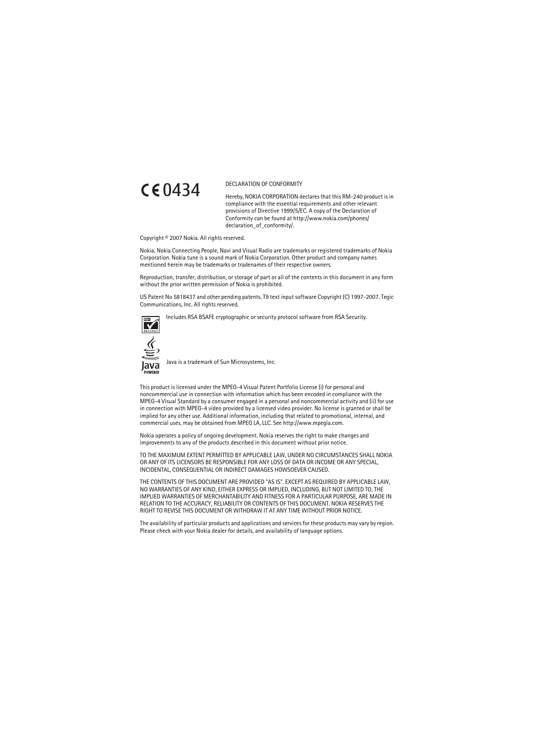

#### DECLARATION OF CONFORMITY

Hereby, NOKIA CORPORATION declares that this RM-240 product is in compliance with the essential requirements and other relevant provisions of Directive 1999/5/EC. A copy of the Declaration of Conformity can be found at http://www.nokia.com/phones/ declaration\_of\_conformity/.

Copyright © 2007 Nokia. All rights reserved.

Nokia, Nokia Connecting People, Navi and Visual Radio are trademarks or registered trademarks of Nokia Corporation. Nokia tune is a sound mark of Nokia Corporation. Other product and company names mentioned herein may be trademarks or tradenames of their respective owners.

Reproduction, transfer, distribution, or storage of part or all of the contents in this document in any form without the prior written permission of Nokia is prohibited.

US Patent No 5818437 and other pending patents. T9 text input software Copyright (C) 1997-2007. Tegic Communications, Inc. All rights reserved.



Includes RSA BSAFE cryptographic or security protocol software from RSA Security.



Java is a trademark of Sun Microsystems, Inc.

This product is licensed under the MPEG-4 Visual Patent Portfolio License (i) for personal and noncommercial use in connection with information which has been encoded in compliance with the MPEG-4 Visual Standard by a consumer engaged in a personal and noncommercial activity and (ii) for use in connection with MPEG-4 video provided by a licensed video provider. No license is granted or shall be implied for any other use. Additional information, including that related to promotional, internal, and commercial uses, may be obtained from MPEG LA, LLC. See http://www.mpegla.com.

Nokia operates a policy of ongoing development. Nokia reserves the right to make changes and improvements to any of the products described in this document without prior notice.

TO THE MAXIMUM EXTENT PERMITTED BY APPLICABLE LAW, UNDER NO CIRCUMSTANCES SHALL NOKIA OR ANY OF ITS LICENSORS BE RESPONSIBLE FOR ANY LOSS OF DATA OR INCOME OR ANY SPECIAL, INCIDENTAL, CONSEQUENTIAL OR INDIRECT DAMAGES HOWSOEVER CAUSED.

THE CONTENTS OF THIS DOCUMENT ARE PROVIDED "AS IS". EXCEPT AS REQUIRED BY APPLICABLE LAW, NO WARRANTIES OF ANY KIND, EITHER EXPRESS OR IMPLIED, INCLUDING, BUT NOT LIMITED TO, THE IMPLIED WARRANTIES OF MERCHANTABILITY AND FITNESS FOR A PARTICULAR PURPOSE, ARE MADE IN RELATION TO THE ACCURACY, RELIABILITY OR CONTENTS OF THIS DOCUMENT. NOKIA RESERVES THE RIGHT TO REVISE THIS DOCUMENT OR WITHDRAW IT AT ANY TIME WITHOUT PRIOR NOTICE.

The availability of particular products and applications and services for these products may vary by region. Please check with your Nokia dealer for details, and availability of language options.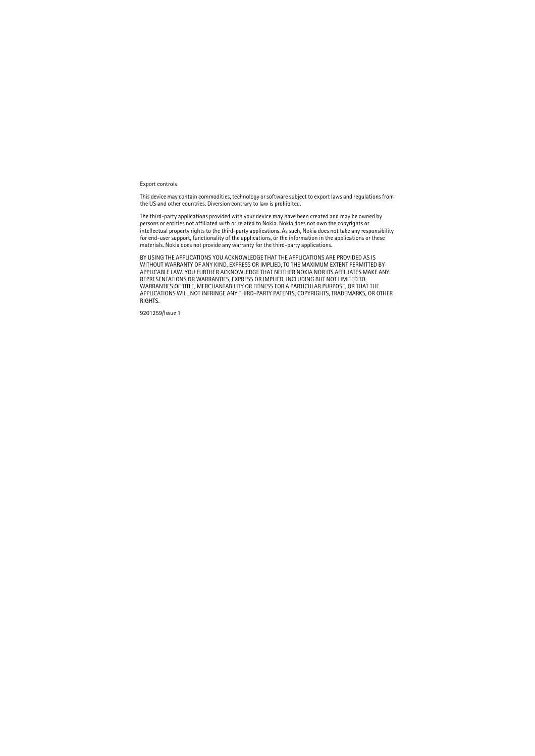#### Export controls

This device may contain commodities, technology or software subject to export laws and regulations from the US and other countries. Diversion contrary to law is prohibited.

The third-party applications provided with your device may have been created and may be owned by persons or entities not affiliated with or related to Nokia. Nokia does not own the copyrights or intellectual property rights to the third-party applications. As such, Nokia does not take any responsibility for end-user support, functionality of the applications, or the information in the applications or these materials. Nokia does not provide any warranty for the third-party applications.

BY USING THE APPLICATIONS YOU ACKNOWLEDGE THAT THE APPLICATIONS ARE PROVIDED AS IS WITHOUT WARRANTY OF ANY KIND, EXPRESS OR IMPLIED, TO THE MAXIMUM EXTENT PERMITTED BY APPLICABLE LAW. YOU FURTHER ACKNOWLEDGE THAT NEITHER NOKIA NOR ITS AFFILIATES MAKE ANY REPRESENTATIONS OR WARRANTIES, EXPRESS OR IMPLIED, INCLUDING BUT NOT LIMITED TO WARRANTIES OF TITLE, MERCHANTABILITY OR FITNESS FOR A PARTICULAR PURPOSE, OR THAT THE APPLICATIONS WILL NOT INFRINGE ANY THIRD-PARTY PATENTS, COPYRIGHTS, TRADEMARKS, OR OTHER RIGHTS.

9201259/Issue 1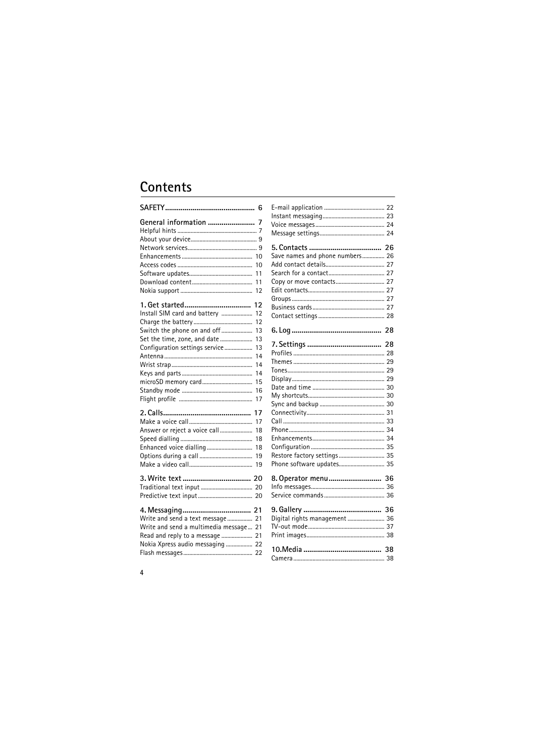# Contents

|                                        | 6        |
|----------------------------------------|----------|
| General information  7                 |          |
|                                        |          |
|                                        |          |
|                                        | 10       |
|                                        | 10       |
|                                        | 11       |
|                                        | 11       |
|                                        | 12       |
|                                        |          |
|                                        | 12       |
| Install SIM card and battery           | 12       |
|                                        | 12       |
| Switch the phone on and off            | 13       |
| Set the time, zone, and date           | 13       |
| Configuration settings service         | 13       |
|                                        | 14<br>14 |
|                                        | 14       |
|                                        | 15       |
|                                        | 16       |
|                                        | 17       |
|                                        |          |
|                                        | 17       |
|                                        | 17       |
| Answer or reject a voice call          | 18       |
|                                        | 18       |
|                                        | 18       |
|                                        | 19       |
|                                        | 19       |
|                                        |          |
|                                        |          |
|                                        |          |
|                                        |          |
| Write and send a text message 21       |          |
| Write and send a multimedia message 21 |          |
| Read and reply to a message  21        |          |
| Nokia Xpress audio messaging  22       |          |
|                                        |          |
|                                        |          |

| Save names and phone numbers 26 |  |
|---------------------------------|--|
|                                 |  |
|                                 |  |
|                                 |  |
|                                 |  |
|                                 |  |
|                                 |  |
|                                 |  |
|                                 |  |
|                                 |  |
|                                 |  |
|                                 |  |
|                                 |  |
|                                 |  |
|                                 |  |
|                                 |  |
|                                 |  |
|                                 |  |
|                                 |  |
|                                 |  |
|                                 |  |
|                                 |  |
| Restore factory settings  35    |  |
| Phone software updates 35       |  |
|                                 |  |
| 8. Operator menu 36             |  |
|                                 |  |
|                                 |  |
|                                 |  |
| Digital rights management  36   |  |
|                                 |  |
|                                 |  |
|                                 |  |
|                                 |  |
|                                 |  |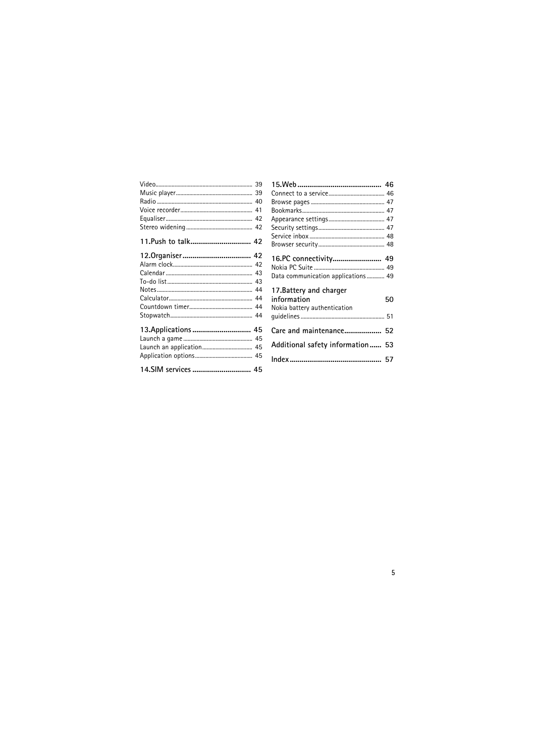| 13. Applications  45 |  |
|----------------------|--|
|                      |  |
|                      |  |
|                      |  |
| 14.SIM services  45  |  |

| 16.PC connectivity 49              |    |
|------------------------------------|----|
|                                    |    |
| Data communication applications 49 |    |
| 17.Battery and charger             |    |
| information                        | 50 |
| Nokia battery authentication       |    |
|                                    |    |
|                                    |    |
| Care and maintenance 52            |    |
| Additional safety information 53   |    |
|                                    |    |
|                                    |    |
|                                    |    |

I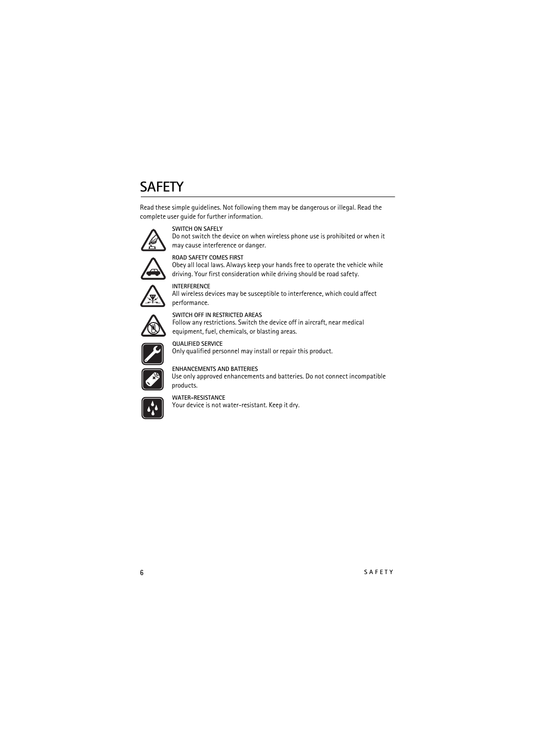# <span id="page-5-0"></span>**SAFETY**

Read these simple guidelines. Not following them may be dangerous or illegal. Read the complete user guide for further information.



#### **SWITCH ON SAFELY**

Do not switch the device on when wireless phone use is prohibited or when it may cause interference or danger.



#### **ROAD SAFETY COMES FIRST**

Obey all local laws. Always keep your hands free to operate the vehicle while driving. Your first consideration while driving should be road safety.



#### **INTERFERENCE**

All wireless devices may be susceptible to interference, which could affect performance.



#### **SWITCH OFF IN RESTRICTED AREAS** Follow any restrictions. Switch the device off in aircraft, near medical equipment, fuel, chemicals, or blasting areas.



**QUALIFIED SERVICE** Only qualified personnel may install or repair this product.



#### **ENHANCEMENTS AND BATTERIES**

Use only approved enhancements and batteries. Do not connect incompatible products.



#### **WATER-RESISTANCE**

Your device is not water-resistant. Keep it dry.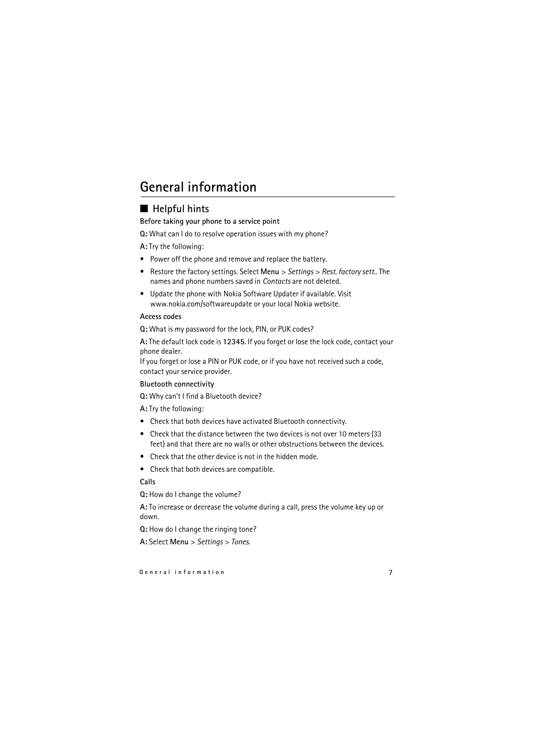# <span id="page-6-1"></span><span id="page-6-0"></span>■ **Helpful hints**

#### **Before taking your phone to a service point**

**Q:** What can I do to resolve operation issues with my phone?

**A:** Try the following:

- Power off the phone and remove and replace the battery.
- Restore the factory settings. Select **Menu** > *Settings* > *Rest. factory sett.*. The names and phone numbers saved in *Contacts* are not deleted.
- Update the phone with Nokia Software Updater if available. Visit www.nokia.com/softwareupdate or your local Nokia website.

#### **Access codes**

**Q:** What is my password for the lock, PIN, or PUK codes?

**A:** The default lock code is **12345**. If you forget or lose the lock code, contact your phone dealer.

If you forget or lose a PIN or PUK code, or if you have not received such a code, contact your service provider.

#### **Bluetooth connectivity**

**Q:** Why can't I find a Bluetooth device?

**A:** Try the following:

- Check that both devices have activated Bluetooth connectivity.
- Check that the distance between the two devices is not over 10 meters (33 feet) and that there are no walls or other obstructions between the devices.
- Check that the other device is not in the hidden mode.
- Check that both devices are compatible.

#### **Calls**

**Q:** How do I change the volume?

**A:** To increase or decrease the volume during a call, press the volume key up or down.

**Q:** How do I change the ringing tone?

**A:** Select **Menu** > *Settings* > *Tones*.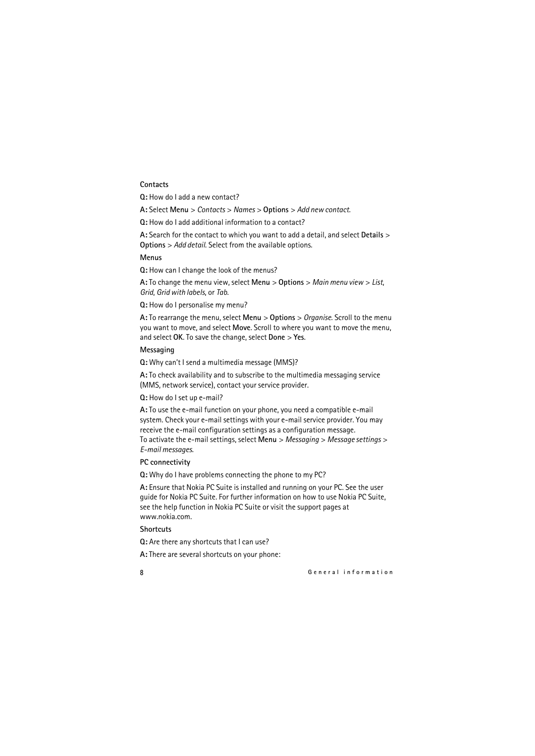#### **Contacts**

**Q:** How do I add a new contact?

**A:** Select **Menu** > *Contacts* > *Names* > **Options** > *Add new contact*.

**Q:** How do I add additional information to a contact?

**A:** Search for the contact to which you want to add a detail, and select **Details** > **Options** > *Add detail*. Select from the available options.

#### **Menus**

**Q:** How can I change the look of the menus?

**A:** To change the menu view, select **Menu** > **Options** > *Main menu view* > *List*, *Grid*, *Grid with labels*, or *Tab*.

**Q:** How do I personalise my menu?

**A:** To rearrange the menu, select **Menu** > **Options** > *Organise*. Scroll to the menu you want to move, and select **Move**. Scroll to where you want to move the menu, and select **OK**. To save the change, select **Done** > **Yes**.

#### **Messaging**

**Q:** Why can't I send a multimedia message (MMS)?

**A:** To check availability and to subscribe to the multimedia messaging service (MMS, network service), contact your service provider.

**Q:** How do I set up e-mail?

**A:** To use the e-mail function on your phone, you need a compatible e-mail system. Check your e-mail settings with your e-mail service provider. You may receive the e-mail configuration settings as a configuration message. To activate the e-mail settings, select **Menu** > *Messaging* > *Message settings* > *E-mail messages*.

#### **PC connectivity**

**Q:** Why do I have problems connecting the phone to my PC?

**A:** Ensure that Nokia PC Suite is installed and running on your PC. See the user guide for Nokia PC Suite. For further information on how to use Nokia PC Suite, see the help function in Nokia PC Suite or visit the support pages at www.nokia.com.

#### **Shortcuts**

**Q:** Are there any shortcuts that I can use?

**A:** There are several shortcuts on your phone: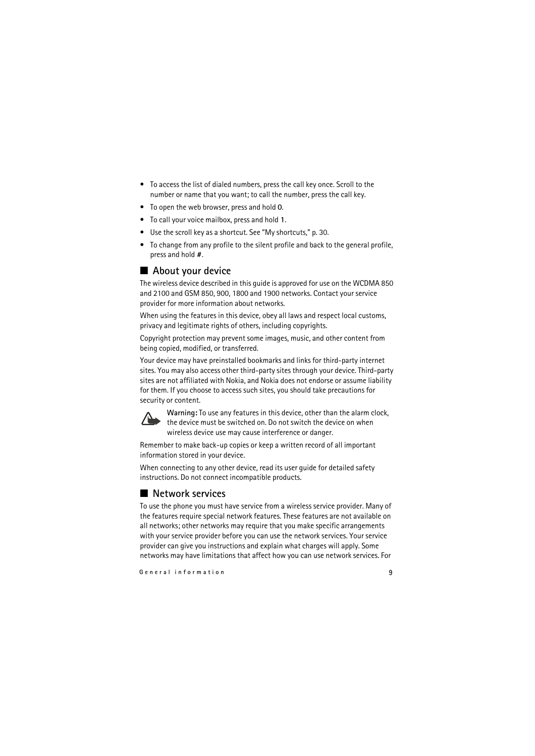- To access the list of dialed numbers, press the call key once. Scroll to the number or name that you want; to call the number, press the call key.
- To open the web browser, press and hold **0**.
- To call your voice mailbox, press and hold **1**.
- Use the scroll key as a shortcut. See ["My shortcuts,"](#page-29-1) p. [30.](#page-29-1)
- To change from any profile to the silent profile and back to the general profile, press and hold **#**.

# <span id="page-8-0"></span>■ **About your device**

The wireless device described in this guide is approved for use on the WCDMA 850 and 2100 and GSM 850, 900, 1800 and 1900 networks. Contact your service provider for more information about networks.

When using the features in this device, obey all laws and respect local customs, privacy and legitimate rights of others, including copyrights.

Copyright protection may prevent some images, music, and other content from being copied, modified, or transferred.

Your device may have preinstalled bookmarks and links for third-party internet sites. You may also access other third-party sites through your device. Third-party sites are not affiliated with Nokia, and Nokia does not endorse or assume liability for them. If you choose to access such sites, you should take precautions for security or content.



**Warning:** To use any features in this device, other than the alarm clock, the device must be switched on. Do not switch the device on when wireless device use may cause interference or danger.

Remember to make back-up copies or keep a written record of all important information stored in your device.

When connecting to any other device, read its user guide for detailed safety instructions. Do not connect incompatible products.

# <span id="page-8-1"></span>■ **Network services**

To use the phone you must have service from a wireless service provider. Many of the features require special network features. These features are not available on all networks; other networks may require that you make specific arrangements with your service provider before you can use the network services. Your service provider can give you instructions and explain what charges will apply. Some networks may have limitations that affect how you can use network services. For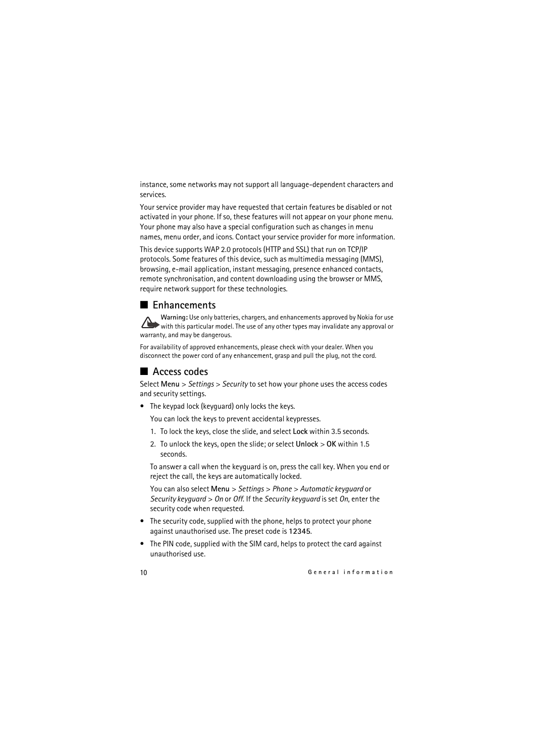instance, some networks may not support all language-dependent characters and services.

Your service provider may have requested that certain features be disabled or not activated in your phone. If so, these features will not appear on your phone menu. Your phone may also have a special configuration such as changes in menu names, menu order, and icons. Contact your service provider for more information.

This device supports WAP 2.0 protocols (HTTP and SSL) that run on TCP/IP protocols. Some features of this device, such as multimedia messaging (MMS), browsing, e-mail application, instant messaging, presence enhanced contacts, remote synchronisation, and content downloading using the browser or MMS, require network support for these technologies.

### <span id="page-9-0"></span>■ **Enhancements**

**Warning:** Use only batteries, chargers, and enhancements approved by Nokia for use with this particular model. The use of any other types may invalidate any approval or warranty, and may be dangerous.

For availability of approved enhancements, please check with your dealer. When you disconnect the power cord of any enhancement, grasp and pull the plug, not the cord.

## <span id="page-9-1"></span>■ **Access codes**

Select **Menu** > *Settings* > *Security* to set how your phone uses the access codes and security settings.

• The keypad lock (keyguard) only locks the keys.

You can lock the keys to prevent accidental keypresses.

- 1. To lock the keys, close the slide, and select **Lock** within 3.5 seconds.
- 2. To unlock the keys, open the slide; or select **Unlock** > **OK** within 1.5 seconds.

To answer a call when the keyguard is on, press the call key. When you end or reject the call, the keys are automatically locked.

You can also select **Menu** > *Settings* > *Phone* > *Automatic keyguard* or *Security keyguard* > *On* or *Off*. If the *Security keyguard* is set *On*, enter the security code when requested.

- The security code, supplied with the phone, helps to protect your phone against unauthorised use. The preset code is **12345**.
- The PIN code, supplied with the SIM card, helps to protect the card against unauthorised use.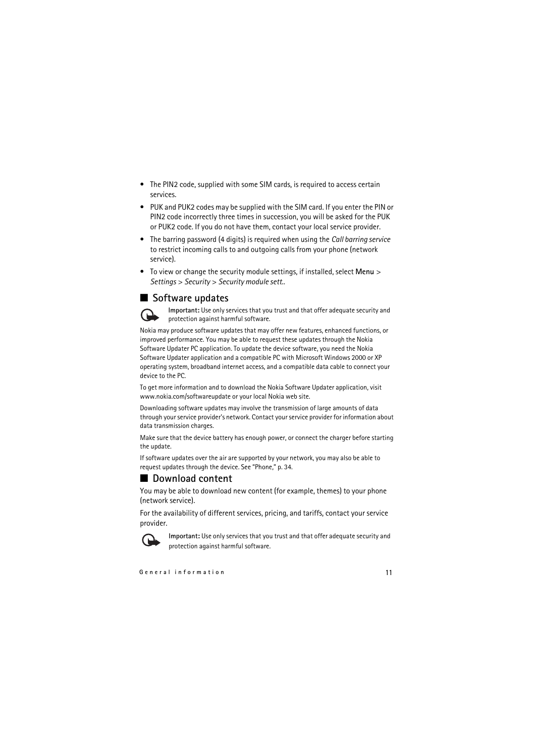- The PIN2 code, supplied with some SIM cards, is required to access certain services.
- PUK and PUK2 codes may be supplied with the SIM card. If you enter the PIN or PIN2 code incorrectly three times in succession, you will be asked for the PUK or PUK2 code. If you do not have them, contact your local service provider.
- The barring password (4 digits) is required when using the *Call barring service* to restrict incoming calls to and outgoing calls from your phone (network service).
- To view or change the security module settings, if installed, select **Menu** > *Settings* > *Security* > *Security module sett.*.

### <span id="page-10-0"></span>■ Software updates



**Important:** Use only services that you trust and that offer adequate security and protection against harmful software.

Nokia may produce software updates that may offer new features, enhanced functions, or improved performance. You may be able to request these updates through the Nokia Software Updater PC application. To update the device software, you need the Nokia Software Updater application and a compatible PC with Microsoft Windows 2000 or XP operating system, broadband internet access, and a compatible data cable to connect your device to the PC.

To get more information and to download the Nokia Software Updater application, visit www.nokia.com/softwareupdate or your local Nokia web site.

Downloading software updates may involve the transmission of large amounts of data through your service provider's network. Contact your service provider for information about data transmission charges.

Make sure that the device battery has enough power, or connect the charger before starting the update.

If software updates over the air are supported by your network, you may also be able to request updates through the device. See ["Phone,"](#page-33-0) p. [34.](#page-33-0)

## <span id="page-10-1"></span>■ **Download content**

You may be able to download new content (for example, themes) to your phone (network service).

For the availability of different services, pricing, and tariffs, contact your service provider.



**Important:** Use only services that you trust and that offer adequate security and protection against harmful software.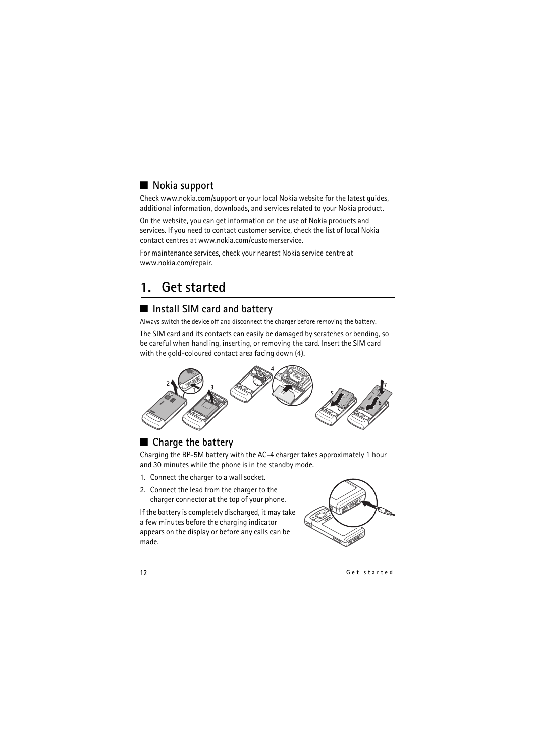# <span id="page-11-0"></span>■ **Nokia** support

Check www.nokia.com/support or your local Nokia website for the latest guides, additional information, downloads, and services related to your Nokia product.

On the website, you can get information on the use of Nokia products and services. If you need to contact customer service, check the list of local Nokia contact centres at www.nokia.com/customerservice.

For maintenance services, check your nearest Nokia service centre at www.nokia.com/repair.

# <span id="page-11-1"></span>**1. Get started**

## <span id="page-11-2"></span>■ **Install SIM card and battery**

Always switch the device off and disconnect the charger before removing the battery.

The SIM card and its contacts can easily be damaged by scratches or bending, so be careful when handling, inserting, or removing the card. Insert the SIM card with the gold-coloured contact area facing down (4).



# <span id="page-11-3"></span>■ **Charge the battery**

Charging the BP-5M battery with the AC-4 charger takes approximately 1 hour and 30 minutes while the phone is in the standby mode.

- 1. Connect the charger to a wall socket.
- 2. Connect the lead from the charger to the charger connector at the top of your phone.

If the battery is completely discharged, it may take a few minutes before the charging indicator appears on the display or before any calls can be made.

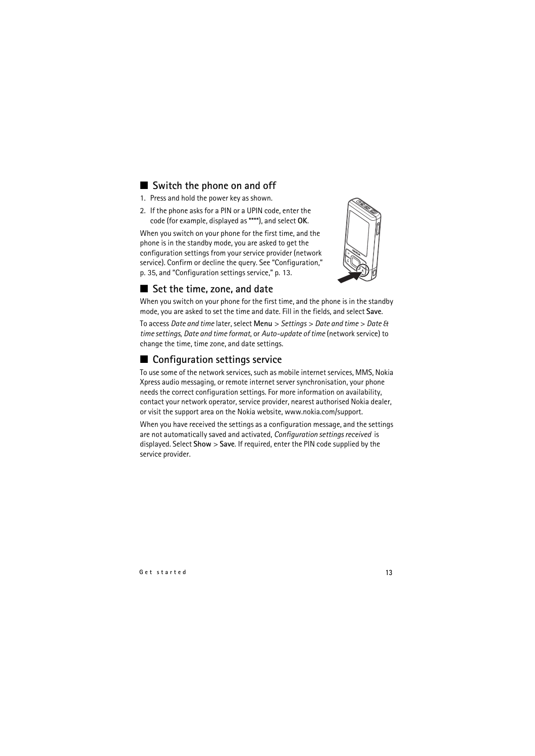## <span id="page-12-0"></span>■ Switch the phone on and off

- 1. Press and hold the power key as shown.
- 2. If the phone asks for a PIN or a UPIN code, enter the code (for example, displayed as \*\*\*\*), and select **OK**.

When you switch on your phone for the first time, and the phone is in the standby mode, you are asked to get the configuration settings from your service provider (network service). Confirm or decline the query. See ["Configuration,"](#page-34-0) p. 35, and ["Configuration settings service,"](#page-12-2) p. [13.](#page-12-2)



# <span id="page-12-1"></span>■ Set the time, zone, and date

When you switch on your phone for the first time, and the phone is in the standby mode, you are asked to set the time and date. Fill in the fields, and select **Save**.

To access *Date and time* later, select **Menu** > *Settings* > *Date and time* > *Date & time settings*, *Date and time format*, or *Auto-update of time* (network service) to change the time, time zone, and date settings.

# <span id="page-12-2"></span>■ **Configuration settings service**

To use some of the network services, such as mobile internet services, MMS, Nokia Xpress audio messaging, or remote internet server synchronisation, your phone needs the correct configuration settings. For more information on availability, contact your network operator, service provider, nearest authorised Nokia dealer, or visit the support area on the Nokia website, www.nokia.com/support.

When you have received the settings as a configuration message, and the settings are not automatically saved and activated, *Configuration settings received* is displayed. Select **Show** > **Save**. If required, enter the PIN code supplied by the service provider.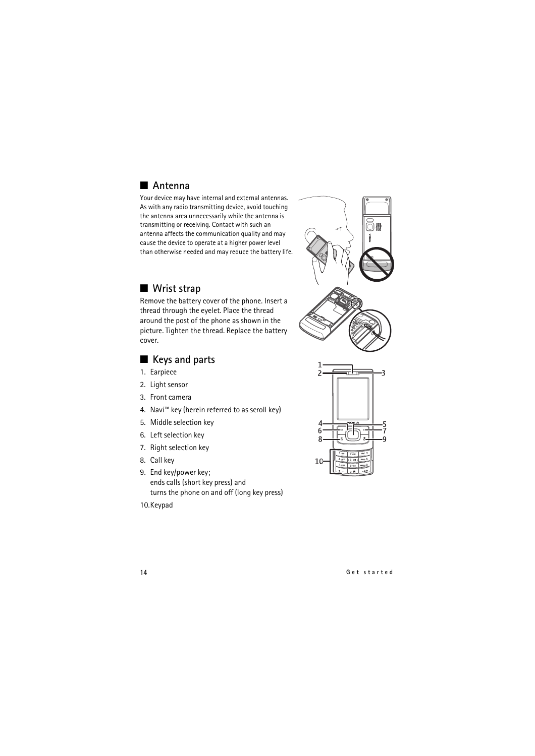# <span id="page-13-0"></span>■ **Antenna**

Your device may have internal and external antennas. As with any radio transmitting device, avoid touching the antenna area unnecessarily while the antenna is transmitting or receiving. Contact with such an antenna affects the communication quality and may cause the device to operate at a higher power level than otherwise needed and may reduce the battery life.

### <span id="page-13-1"></span>■ Wrist strap

Remove the battery cover of the phone. Insert a thread through the eyelet. Place the thread around the post of the phone as shown in the picture. Tighten the thread. Replace the battery cover.

## <span id="page-13-2"></span>■ **Keys and parts**

- 1. Earpiece
- 2. Light sensor
- 3. Front camera
- 4. Navi™ key (herein referred to as scroll key)
- 5. Middle selection key
- 6. Left selection key
- 7. Right selection key
- <span id="page-13-3"></span>8. Call key
- <span id="page-13-4"></span>9. End key/power key; ends calls (short key press) and turns the phone on and off (long key press)
- 10.Keypad

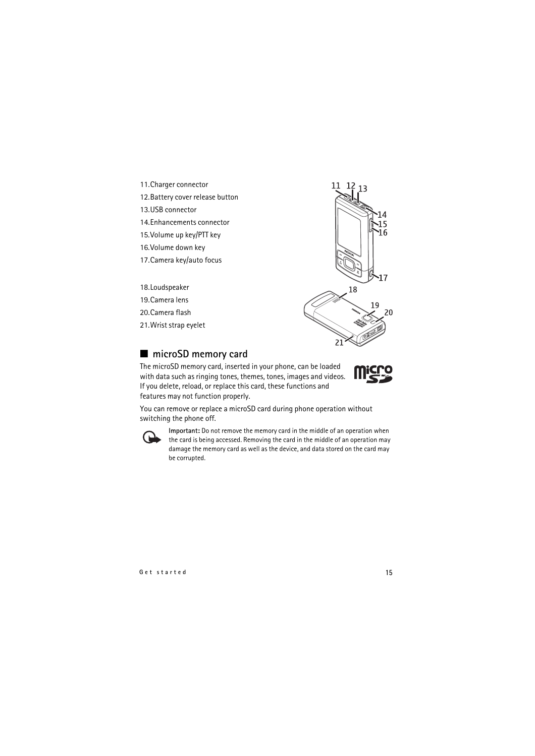- 11.Charger connector
- 12.Battery cover release button
- 13.USB connector
- 14.Enhancements connector
- 15.Volume up key/PTT key
- 16.Volume down key
- 17.Camera key/auto focus
- 18.Loudspeaker
- 19.Camera lens
- 20.Camera flash
- 21.Wrist strap eyelet



### <span id="page-14-0"></span>■ microSD memory card

The microSD memory card, inserted in your phone, can be loaded with data such as ringing tones, themes, tones, images and videos. If you delete, reload, or replace this card, these functions and features may not function properly.



You can remove or replace a microSD card during phone operation without switching the phone off.



**Important:** Do not remove the memory card in the middle of an operation when the card is being accessed. Removing the card in the middle of an operation may damage the memory card as well as the device, and data stored on the card may be corrupted.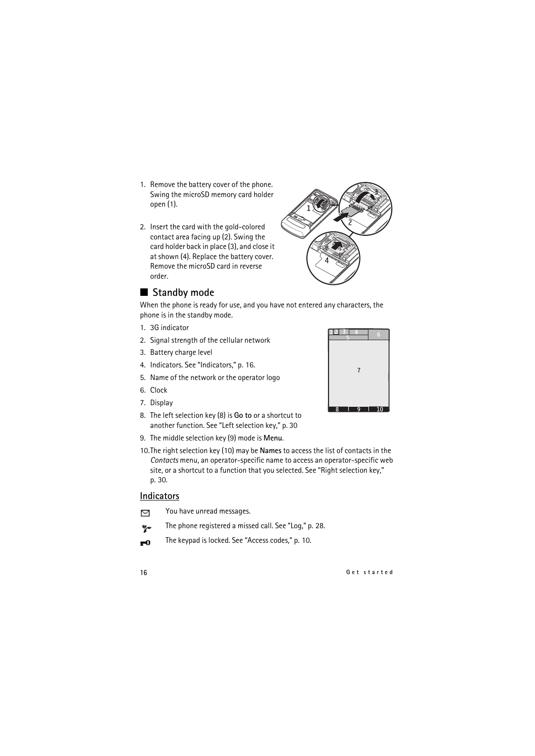- 1. Remove the battery cover of the phone. Swing the microSD memory card holder open (1).
- 2. Insert the card with the gold-colored contact area facing up (2). Swing the card holder back in place (3), and close it at shown (4). Replace the battery cover. Remove the microSD card in reverse order.

#### <span id="page-15-0"></span>■ Standby mode

When the phone is ready for use, and you have not entered any characters, the phone is in the standby mode.

- 1. 3G indicator
- 2. Signal strength of the cellular network
- 3. Battery charge level
- 4. Indicators. See "Indicators," p. 16.
- 5. Name of the network or the operator logo
- 6. Clock
- 7. Display
- 8. The left selection key (8) is **Go to** or a shortcut to another function. See "Left selection key," p. 30
- 9. The middle selection key (9) mode is **Menu**.
- 10.The right selection key (10) may be **Names** to access the list of contacts in the *Contacts* menu, an operator-specific name to access an operator-specific web site, or a shortcut to a function that you selected. See "Right selection key," p. 30.

#### **Indicators**

- You have unread messages. 罓
- The phone registered a missed call. See ["Log,"](#page-27-1) p. [28.](#page-27-1)  $\mathbf{v}_r$
- The keypad is locked. See ["Access codes,"](#page-9-1) p. [10.](#page-9-1) $\mathbf{r}^{\mathbf{0}}$



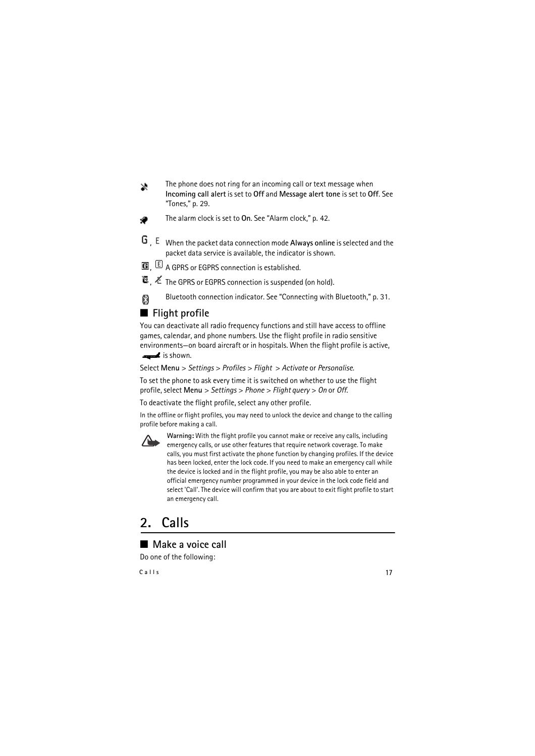- The phone does not ring for an incoming call or text message when  $\mathbf x$ **Incoming call alert** is set to **Off** and **Message alert tone** is set to **Off**. See ["Tones,"](#page-28-1) p. [29](#page-28-1).
- The alarm clock is set to **On**. See ["Alarm clock,"](#page-41-4) p. [42.](#page-41-4) ۰
- **,** When the packet data connection mode **Always online** is selected and the packet data service is available, the indicator is shown.
- **G**  $\mathbb{E}$  A GPRS or EGPRS connection is established.
- **<sup>1</sup>3** .  $\text{\AA}$  The GPRS or EGPRS connection is suspended (on hold).
- Bluetooth connection indicator. See "Connecting with Bluetooth," p. 31. 父

## <span id="page-16-0"></span>■ Flight profile

You can deactivate all radio frequency functions and still have access to offline games, calendar, and phone numbers. Use the flight profile in radio sensitive environments—on board aircraft or in hospitals. When the flight profile is active,

is shown.

Select **Menu** > *Settings* > *Profiles* > *Flight* > *Activate* or *Personalise*.

To set the phone to ask every time it is switched on whether to use the flight profile, select **Menu** > *Settings* > *Phone* > *Flight query* > *On* or *Off*.

To deactivate the flight profile, select any other profile.

In the offline or flight profiles, you may need to unlock the device and change to the calling profile before making a call.



**Warning:** With the flight profile you cannot make or receive any calls, including emergency calls, or use other features that require network coverage. To make calls, you must first activate the phone function by changing profiles. If the device has been locked, enter the lock code. If you need to make an emergency call while the device is locked and in the flight profile, you may be also able to enter an official emergency number programmed in your device in the lock code field and select 'Call'. The device will confirm that you are about to exit flight profile to start an emergency call.

# <span id="page-16-1"></span>**2. Calls**

## <span id="page-16-2"></span>■ **Make a voice call**

Do one of the following: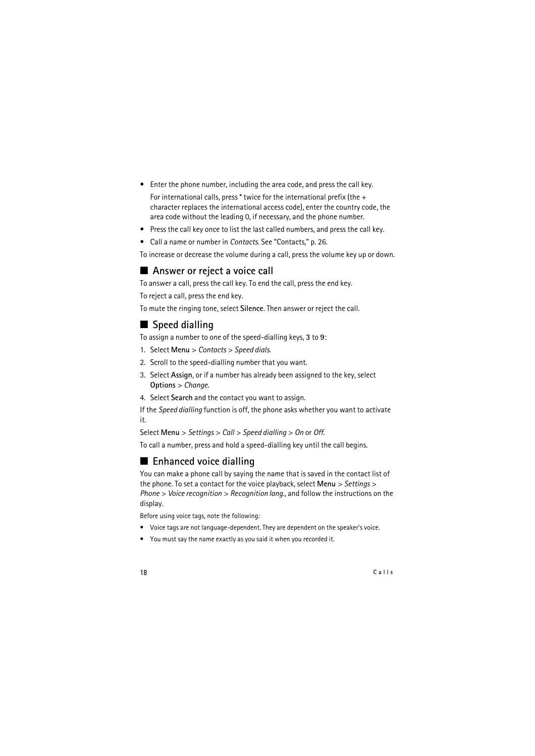- Enter the phone number, including the area code, and press the call key. For international calls, press  $*$  twice for the international prefix (the  $+$ character replaces the international access code), enter the country code, the area code without the leading 0, if necessary, and the phone number.
- Press the call key once to list the last called numbers, and press the call key.
- Call a name or number in *Contacts*. See ["Contacts,"](#page-25-0) p. [26.](#page-25-0)

To increase or decrease the volume during a call, press the volume key up or down.

#### <span id="page-17-0"></span>■ Answer or reject a voice call

To answer a call, press the call key. To end the call, press the end key.

To reject a call, press the end key.

To mute the ringing tone, select **Silence**. Then answer or reject the call.

### <span id="page-17-1"></span>■ **Speed dialling**

To assign a number to one of the speed-dialling keys, **3** to **9**:

- 1. Select **Menu** > *Contacts* > *Speed dials*.
- 2. Scroll to the speed-dialling number that you want.
- 3. Select **Assign**, or if a number has already been assigned to the key, select **Options** > *Change*.
- 4. Select **Search** and the contact you want to assign.

If the *Speed dialling* function is off, the phone asks whether you want to activate it.

Select **Menu** > *Settings* > *Call* > *Speed dialling* > *On* or *Off*.

To call a number, press and hold a speed-dialling key until the call begins.

### <span id="page-17-2"></span>■ **Enhanced voice dialling**

You can make a phone call by saying the name that is saved in the contact list of the phone. To set a contact for the voice playback, select **Menu** > *Settings* > *Phone* > *Voice recognition* > *Recognition lang.*, and follow the instructions on the display.

Before using voice tags, note the following:

- Voice tags are not language-dependent. They are dependent on the speaker's voice.
- You must say the name exactly as you said it when you recorded it.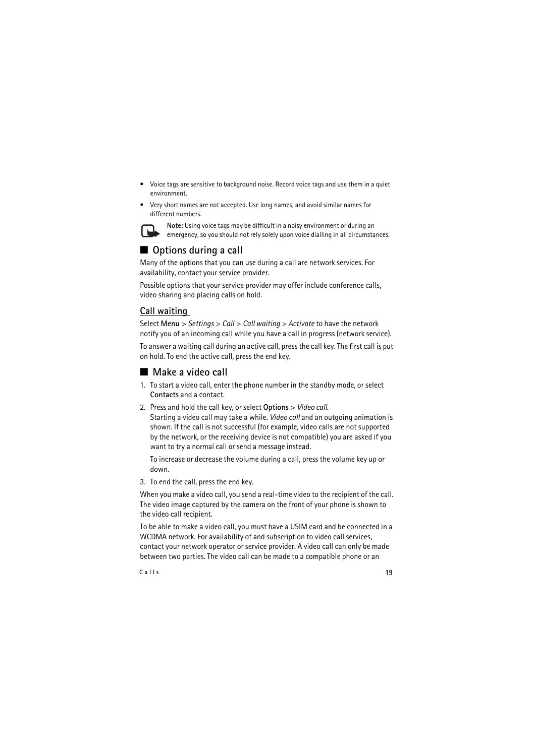- Voice tags are sensitive to background noise. Record voice tags and use them in a quiet environment.
- Very short names are not accepted. Use long names, and avoid similar names for different numbers.



**Note:** Using voice tags may be difficult in a noisy environment or during an emergency, so you should not rely solely upon voice dialling in all circumstances.

# <span id="page-18-0"></span>■ **Options during a call**

Many of the options that you can use during a call are network services. For availability, contact your service provider.

Possible options that your service provider may offer include conference calls, video sharing and placing calls on hold.

### **Call waiting**

Select **Menu** > *Settings* > *Call* > *Call waiting* > *Activate* to have the network notify you of an incoming call while you have a call in progress (network service).

To answer a waiting call during an active call, press the call key. The first call is put on hold. To end the active call, press the end key.

## <span id="page-18-1"></span>■ **Make a video call**

- 1. To start a video call, enter the phone number in the standby mode, or select **Contacts** and a contact.
- 2. Press and hold the call key, or select **Options** > *Video call*. Starting a video call may take a while. *Video call* and an outgoing animation is shown. If the call is not successful (for example, video calls are not supported by the network, or the receiving device is not compatible) you are asked if you want to try a normal call or send a message instead.

To increase or decrease the volume during a call, press the volume key up or down.

3. To end the call, press the end key.

When you make a video call, you send a real-time video to the recipient of the call. The video image captured by the camera on the front of your phone is shown to the video call recipient.

To be able to make a video call, you must have a USIM card and be connected in a WCDMA network. For availability of and subscription to video call services, contact your network operator or service provider. A video call can only be made between two parties. The video call can be made to a compatible phone or an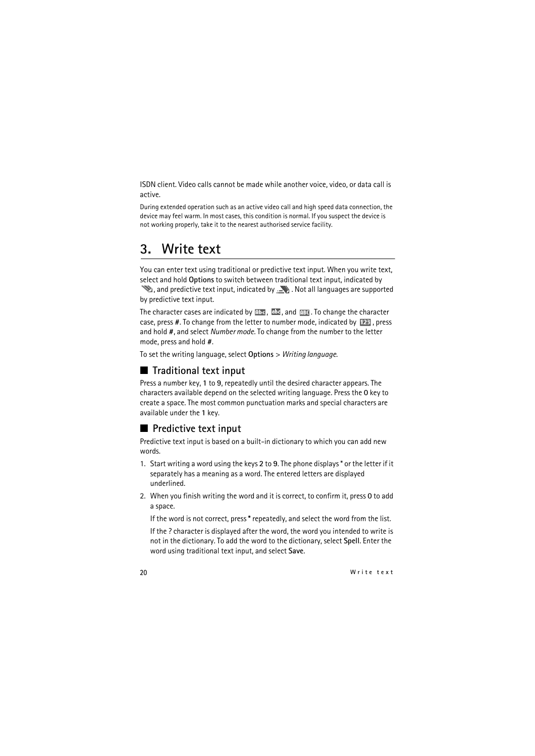ISDN client. Video calls cannot be made while another voice, video, or data call is active.

During extended operation such as an active video call and high speed data connection, the device may feel warm. In most cases, this condition is normal. If you suspect the device is not working properly, take it to the nearest authorised service facility.

# <span id="page-19-0"></span>**3. Write text**

You can enter text using traditional or predictive text input. When you write text, select and hold **Options** to switch between traditional text input, indicated by

 $\mathcal{L}$ , and predictive text input, indicated by  $\mathcal{L}$ . Not all languages are supported by predictive text input.

The character cases are indicated by  $\mathbb{R}^n$ ,  $\mathbb{R}^n$ , and  $\mathbb{R}^n$ . To change the character case, press #. To change from the letter to number mode, indicated by 123, press and hold **#**, and select *Number mode*. To change from the number to the letter mode, press and hold **#**.

To set the writing language, select **Options** > *Writing language*.

### <span id="page-19-1"></span>■ **Traditional text input**

Press a number key, **1** to **9**, repeatedly until the desired character appears. The characters available depend on the selected writing language. Press the **0** key to create a space. The most common punctuation marks and special characters are available under the **1** key.

### <span id="page-19-2"></span>■ **Predictive text input**

Predictive text input is based on a built-in dictionary to which you can add new words.

- 1. Start writing a word using the keys **2** to **9**. The phone displays \* or the letter if it separately has a meaning as a word. The entered letters are displayed underlined.
- 2. When you finish writing the word and it is correct, to confirm it, press **0** to add a space.

If the word is not correct, press **\*** repeatedly, and select the word from the list.

If the ? character is displayed after the word, the word you intended to write is not in the dictionary. To add the word to the dictionary, select **Spell**. Enter the word using traditional text input, and select **Save**.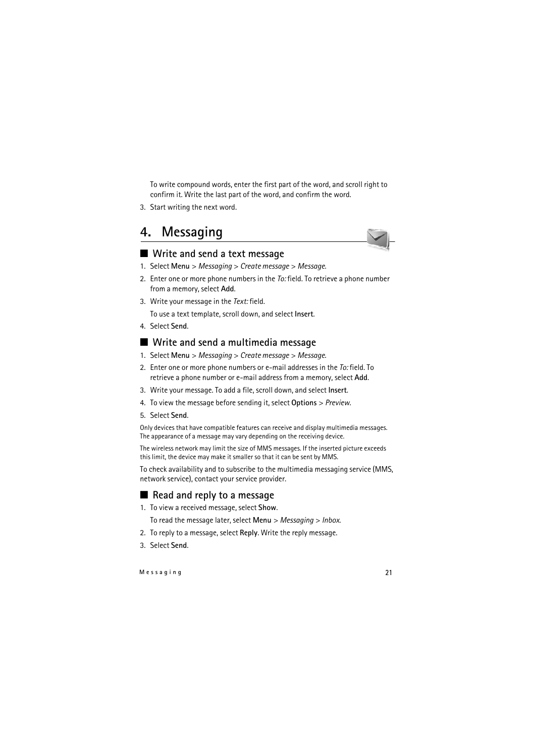To write compound words, enter the first part of the word, and scroll right to confirm it. Write the last part of the word, and confirm the word.

3. Start writing the next word.

# <span id="page-20-0"></span>**4. Messaging**



- <span id="page-20-1"></span>1. Select **Menu** > *Messaging* > *Create message* > *Message*.
- 2. Enter one or more phone numbers in the *To:* field. To retrieve a phone number from a memory, select **Add**.
- 3. Write your message in the *Text:* field.

To use a text template, scroll down, and select **Insert**.

4. Select **Send**.

## <span id="page-20-2"></span>■ Write and send a multimedia message

- 1. Select **Menu** > *Messaging* > *Create message* > *Message*.
- 2. Enter one or more phone numbers or e-mail addresses in the *To:* field. To retrieve a phone number or e-mail address from a memory, select **Add**.
- 3. Write your message. To add a file, scroll down, and select **Insert**.
- 4. To view the message before sending it, select **Options** > *Preview*.
- 5. Select **Send**.

Only devices that have compatible features can receive and display multimedia messages. The appearance of a message may vary depending on the receiving device.

The wireless network may limit the size of MMS messages. If the inserted picture exceeds this limit, the device may make it smaller so that it can be sent by MMS.

To check availability and to subscribe to the multimedia messaging service (MMS, network service), contact your service provider.

## <span id="page-20-3"></span>■ **Read and reply to a message**

1. To view a received message, select **Show**.

To read the message later, select **Menu** > *Messaging* > *Inbox*.

- 2. To reply to a message, select **Reply**. Write the reply message.
- 3. Select **Send**.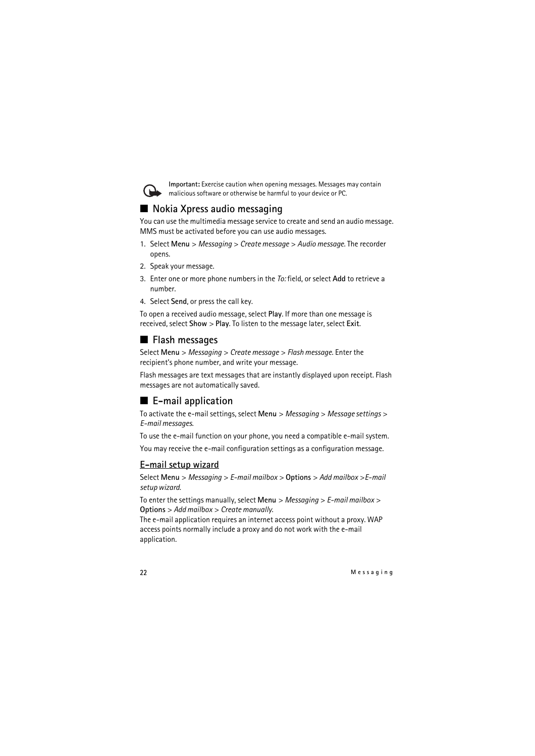

**Important:** Exercise caution when opening messages. Messages may contain malicious software or otherwise be harmful to your device or PC.

# <span id="page-21-0"></span>■ **Nokia Xpress audio messaging**

You can use the multimedia message service to create and send an audio message. MMS must be activated before you can use audio messages.

- 1. Select **Menu** > *Messaging* > *Create message* > *Audio message*. The recorder opens.
- 2. Speak your message.
- 3. Enter one or more phone numbers in the *To:* field, or select **Add** to retrieve a number.
- 4. Select **Send**, or press the call key.

To open a received audio message, select **Play**. If more than one message is received, select **Show** > **Play**. To listen to the message later, select **Exit**.

### <span id="page-21-1"></span>■ **Flash messages**

Select **Menu** > *Messaging* > *Create message* > *Flash message*. Enter the recipient's phone number, and write your message.

Flash messages are text messages that are instantly displayed upon receipt. Flash messages are not automatically saved.

## <span id="page-21-2"></span>■ **E**-mail application

To activate the e-mail settings, select **Menu** > *Messaging* > *Message settings* > *E-mail messages*.

To use the e-mail function on your phone, you need a compatible e-mail system. You may receive the e-mail configuration settings as a configuration message.

#### **E-mail setup wizard**

Select **Menu** > *Messaging* > *E-mail mailbox* > **Options** > *Add mailbox* >*E-mail setup wizard*.

To enter the settings manually, select **Menu** > *Messaging* > *E-mail mailbox* > **Options** > *Add mailbox* > *Create manually*.

The e-mail application requires an internet access point without a proxy. WAP access points normally include a proxy and do not work with the e-mail application.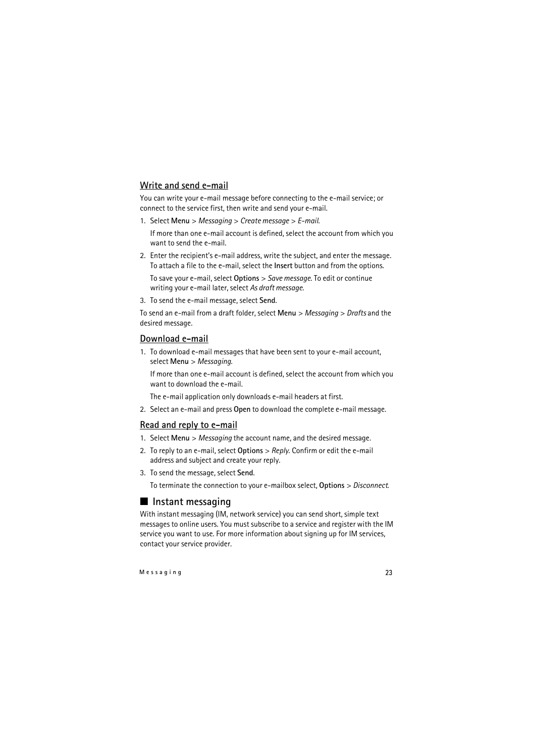#### **Write and send e-mail**

You can write your e-mail message before connecting to the e-mail service; or connect to the service first, then write and send your e-mail.

1. Select **Menu** > *Messaging* > *Create message* > *E-mail*.

If more than one e-mail account is defined, select the account from which you want to send the e-mail.

2. Enter the recipient's e-mail address, write the subject, and enter the message. To attach a file to the e-mail, select the **Insert** button and from the options.

To save your e-mail, select **Options** > *Save message*. To edit or continue writing your e-mail later, select *As draft message*.

3. To send the e-mail message, select **Send**.

To send an e-mail from a draft folder, select **Menu** > *Messaging* > *Drafts* and the desired message.

#### **Download e-mail**

1. To download e-mail messages that have been sent to your e-mail account, select **Menu** > *Messaging*.

If more than one e-mail account is defined, select the account from which you want to download the e-mail.

The e-mail application only downloads e-mail headers at first.

2. Select an e-mail and press **Open** to download the complete e-mail message.

#### **Read and reply to e-mail**

- 1. Select **Menu** > *Messaging* the account name, and the desired message.
- 2. To reply to an e-mail, select **Options** > *Reply*. Confirm or edit the e-mail address and subject and create your reply.
- 3. To send the message, select **Send**.

To terminate the connection to your e-mailbox select, **Options** > *Disconnect*.

### <span id="page-22-0"></span>■ **Instant messaging**

With instant messaging (IM, network service) you can send short, simple text messages to online users. You must subscribe to a service and register with the IM service you want to use. For more information about signing up for IM services, contact your service provider.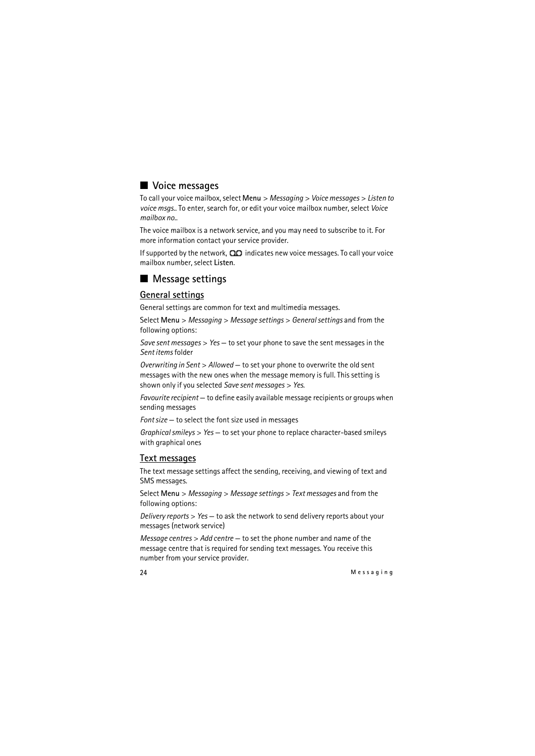# <span id="page-23-0"></span>■ **Voice messages**

To call your voice mailbox, select **Menu** > *Messaging* > *Voice messages* > *Listen to voice msgs.*. To enter, search for, or edit your voice mailbox number, select *Voice mailbox no.*.

The voice mailbox is a network service, and you may need to subscribe to it. For more information contact your service provider.

If supported by the network,  $\Box$  indicates new voice messages. To call your voice mailbox number, select **Listen**.

## <span id="page-23-1"></span>■ Message settings

#### **General settings**

General settings are common for text and multimedia messages.

Select **Menu** > *Messaging* > *Message settings* > *General settings* and from the following options:

*Save sent messages* > *Yes* — to set your phone to save the sent messages in the *Sent items* folder

*Overwriting in Sent* > *Allowed* — to set your phone to overwrite the old sent messages with the new ones when the message memory is full. This setting is shown only if you selected *Save sent messages* > *Yes*.

*Favourite recipient* — to define easily available message recipients or groups when sending messages

*Font size* — to select the font size used in messages

*Graphical smileys* > *Yes* — to set your phone to replace character-based smileys with graphical ones

#### **Text messages**

The text message settings affect the sending, receiving, and viewing of text and SMS messages.

Select **Menu** > *Messaging* > *Message settings* > *Text messages* and from the following options:

*Delivery reports* > *Yes* — to ask the network to send delivery reports about your messages (network service)

*Message centres* > *Add centre* — to set the phone number and name of the message centre that is required for sending text messages. You receive this number from your service provider.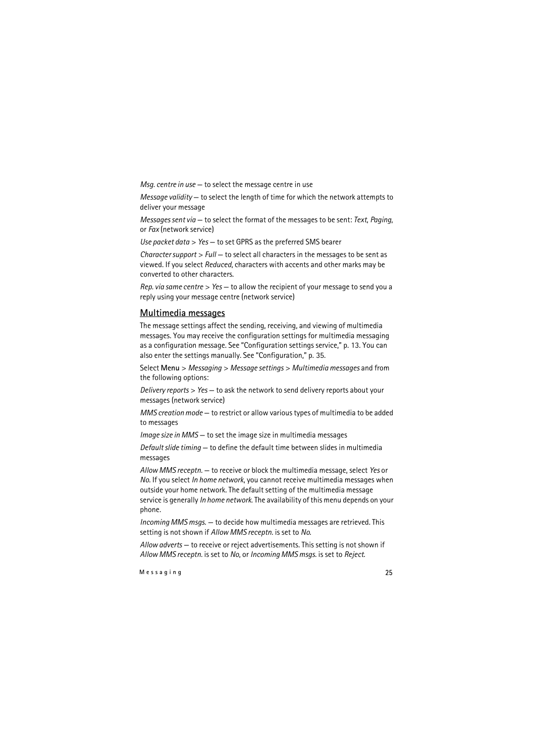*Msg. centre in use* — to select the message centre in use

*Message validity* — to select the length of time for which the network attempts to deliver your message

*Messages sent via* — to select the format of the messages to be sent: *Text*, *Paging*, or *Fax* (network service)

*Use packet data* > *Yes* — to set GPRS as the preferred SMS bearer

*Character support* > *Full* — to select all characters in the messages to be sent as viewed. If you select *Reduced*, characters with accents and other marks may be converted to other characters.

*Rep. via same centre* > *Yes* — to allow the recipient of your message to send you a reply using your message centre (network service)

#### **Multimedia messages**

The message settings affect the sending, receiving, and viewing of multimedia messages. You may receive the configuration settings for multimedia messaging as a configuration message. See ["Configuration settings service,"](#page-12-2) p. [13](#page-12-2). You can also enter the settings manually. See ["Configuration,"](#page-34-0) p. [35](#page-34-0).

Select **Menu** > *Messaging* > *Message settings* > *Multimedia messages* and from the following options:

*Delivery reports* > *Yes* — to ask the network to send delivery reports about your messages (network service)

*MMS creation mode* — to restrict or allow various types of multimedia to be added to messages

*Image size in MMS* — to set the image size in multimedia messages

*Default slide timing* — to define the default time between slides in multimedia messages

*Allow MMS receptn.* — to receive or block the multimedia message, select *Yes* or *No*. If you select *In home network*, you cannot receive multimedia messages when outside your home network. The default setting of the multimedia message service is generally *In home network*. The availability of this menu depends on your phone.

*Incoming MMS msgs.* — to decide how multimedia messages are retrieved. This setting is not shown if *Allow MMS receptn.* is set to *No*.

*Allow adverts* — to receive or reject advertisements. This setting is not shown if *Allow MMS receptn.* is set to *No*, or *Incoming MMS msgs.* is set to *Reject*.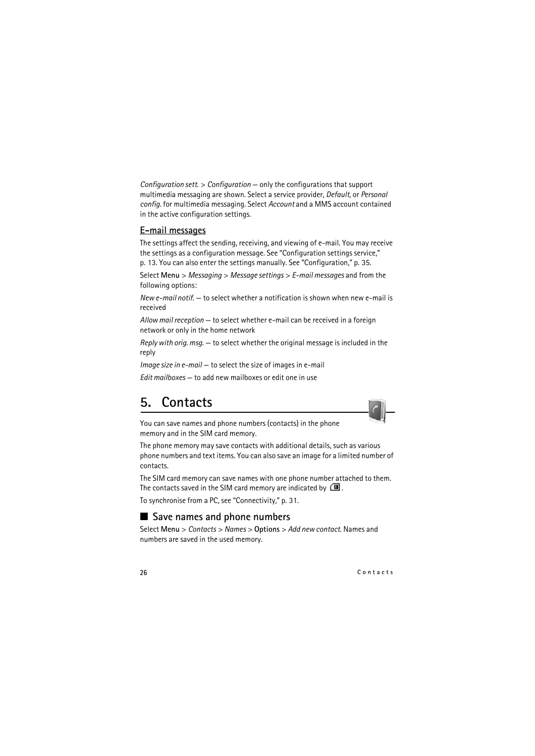*Configuration sett.* > *Configuration* — only the configurations that support multimedia messaging are shown. Select a service provider, *Default*, or *Personal config.* for multimedia messaging. Select *Account* and a MMS account contained in the active configuration settings.

#### **E-mail messages**

The settings affect the sending, receiving, and viewing of e-mail. You may receive the settings as a configuration message. See ["Configuration settings service,"](#page-12-2)  p. [13](#page-12-2). You can also enter the settings manually. See ["Configuration,"](#page-34-0) p. [35](#page-34-0).

Select **Menu** > *Messaging* > *Message settings* > *E-mail messages* and from the following options:

*New e-mail notif.* — to select whether a notification is shown when new e-mail is received

*Allow mail reception* — to select whether e-mail can be received in a foreign network or only in the home network

*Reply with orig. msg.* — to select whether the original message is included in the reply

*Image size in e-mail* — to select the size of images in e-mail

*Edit mailboxes* — to add new mailboxes or edit one in use

# <span id="page-25-0"></span>**5. Contacts**



You can save names and phone numbers (contacts) in the phone memory and in the SIM card memory.

The phone memory may save contacts with additional details, such as various phone numbers and text items. You can also save an image for a limited number of contacts.

The SIM card memory can save names with one phone number attached to them. The contacts saved in the SIM card memory are indicated by  $\Box$ .

To synchronise from a PC, see ["Connectivity,"](#page-30-0) p. [31.](#page-30-0)

### <span id="page-25-1"></span>■ Save names and phone numbers

Select **Menu** > *Contacts* > *Names* > **Options** > *Add new contact*. Names and numbers are saved in the used memory.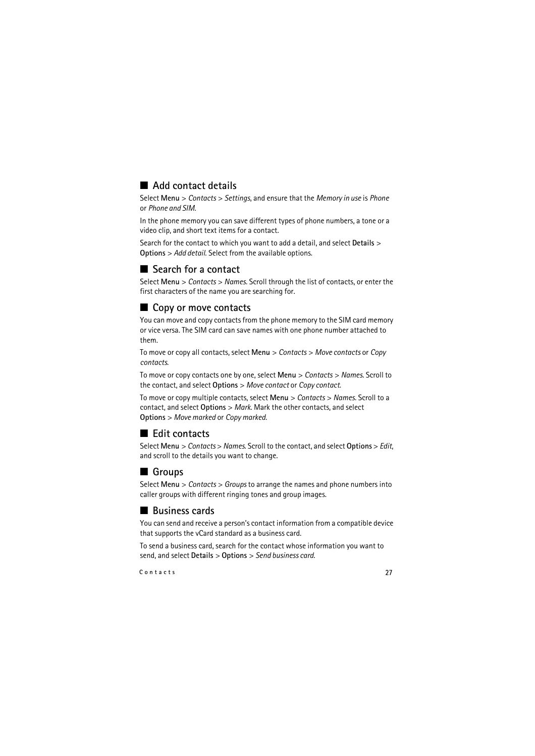# <span id="page-26-0"></span>■ **Add contact details**

Select **Menu** > *Contacts* > *Settings*, and ensure that the *Memory in use* is *Phone* or *Phone and SIM*.

In the phone memory you can save different types of phone numbers, a tone or a video clip, and short text items for a contact.

Search for the contact to which you want to add a detail, and select **Details** > **Options** > *Add detail*. Select from the available options.

# <span id="page-26-1"></span>■ **Search for a contact**

Select **Menu** > *Contacts* > *Names*. Scroll through the list of contacts, or enter the first characters of the name you are searching for.

## <span id="page-26-2"></span>■ Copy or move contacts

You can move and copy contacts from the phone memory to the SIM card memory or vice versa. The SIM card can save names with one phone number attached to them.

To move or copy all contacts, select **Menu** > *Contacts* > *Move contacts* or *Copy contacts*.

To move or copy contacts one by one, select **Menu** > *Contacts* > *Names*. Scroll to the contact, and select **Options** > *Move contact* or *Copy contact*.

To move or copy multiple contacts, select **Menu** > *Contacts* > *Names*. Scroll to a contact, and select **Options** > *Mark*. Mark the other contacts, and select **Options** > *Move marked* or *Copy marked*.

### <span id="page-26-3"></span>■ **Edit contacts**

Select **Menu** > *Contacts* > *Names*. Scroll to the contact, and select **Options** > *Edit*, and scroll to the details you want to change.

# <span id="page-26-4"></span>■ Groups

Select **Menu** > *Contacts* > *Groups* to arrange the names and phone numbers into caller groups with different ringing tones and group images.

## <span id="page-26-5"></span>■ **Business cards**

You can send and receive a person's contact information from a compatible device that supports the vCard standard as a business card.

To send a business card, search for the contact whose information you want to send, and select **Details** > **Options** > *Send business card*.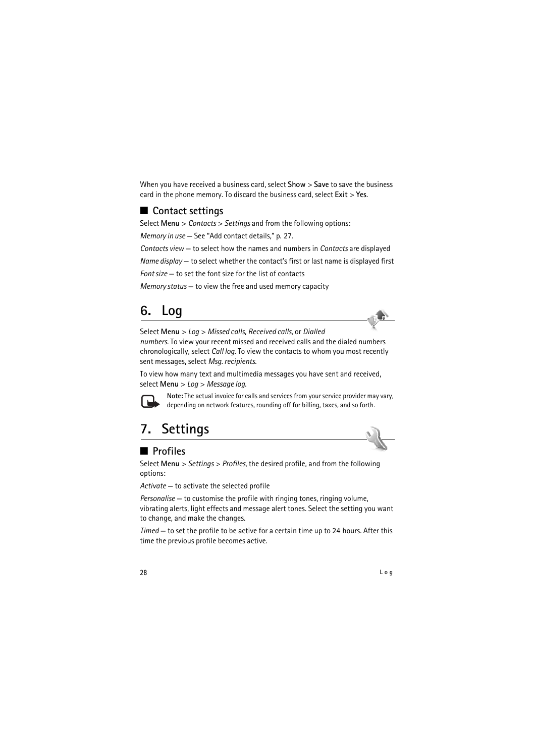When you have received a business card, select **Show** > **Save** to save the business card in the phone memory. To discard the business card, select **Exit** > **Yes**.

# <span id="page-27-0"></span>■ **Contact settings**

Select **Menu** > *Contacts* > *Settings* and from the following options:

*Memory in use* — See ["Add contact details,"](#page-26-0) p. [27.](#page-26-0)

*Contacts view* — to select how the names and numbers in *Contacts* are displayed

*Name display* — to select whether the contact's first or last name is displayed first

*Font size* — to set the font size for the list of contacts

*Memory status* — to view the free and used memory capacity

# <span id="page-27-1"></span>**6. Log**

Select **Menu** > *Log* > *Missed calls*, *Received calls*, or *Dialled numbers*. To view your recent missed and received calls and the dialed numbers chronologically, select *Call log*. To view the contacts to whom you most recently sent messages, select *Msg. recipients*.

To view how many text and multimedia messages you have sent and received, select **Menu** > *Log* > *Message log*.



**Note:** The actual invoice for calls and services from your service provider may vary, depending on network features, rounding off for billing, taxes, and so forth.

# <span id="page-27-2"></span>**7. Settings**

# <span id="page-27-3"></span>■ **Profiles**

Select **Menu** > *Settings* > *Profiles*, the desired profile, and from the following options:

*Activate* — to activate the selected profile

*Personalise* — to customise the profile with ringing tones, ringing volume, vibrating alerts, light effects and message alert tones. Select the setting you want to change, and make the changes.

*Timed* — to set the profile to be active for a certain time up to 24 hours. After this time the previous profile becomes active.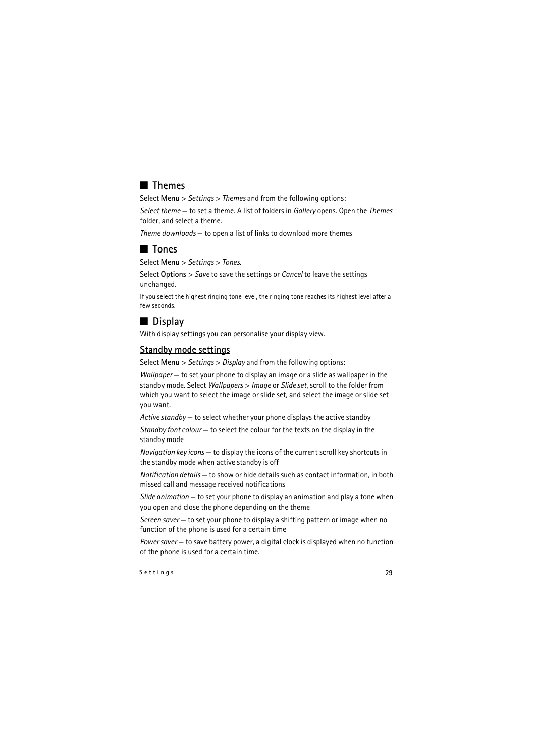# <span id="page-28-0"></span>■ **Themes**

Select **Menu** > *Settings* > *Themes* and from the following options:

*Select theme* — to set a theme. A list of folders in *Gallery* opens. Open the *Themes* folder, and select a theme.

*Theme downloads* — to open a list of links to download more themes

# <span id="page-28-1"></span>■ **Tones**

Select **Menu** > *Settings* > *Tones*.

Select **Options** > *Save* to save the settings or *Cancel* to leave the settings unchanged.

If you select the highest ringing tone level, the ringing tone reaches its highest level after a few seconds.

# <span id="page-28-2"></span>■ **Display**

With display settings you can personalise your display view.

#### **Standby mode settings**

Select **Menu** > *Settings* > *Display* and from the following options:

*Wallpaper* — to set your phone to display an image or a slide as wallpaper in the standby mode. Select *Wallpapers* > *Image* or *Slide set*, scroll to the folder from which you want to select the image or slide set, and select the image or slide set you want.

*Active standby* — to select whether your phone displays the active standby

*Standby font colour* — to select the colour for the texts on the display in the standby mode

*Navigation key icons* — to display the icons of the current scroll key shortcuts in the standby mode when active standby is off

*Notification details* — to show or hide details such as contact information, in both missed call and message received notifications

*Slide animation* — to set your phone to display an animation and play a tone when you open and close the phone depending on the theme

*Screen saver* — to set your phone to display a shifting pattern or image when no function of the phone is used for a certain time

*Power saver* — to save battery power, a digital clock is displayed when no function of the phone is used for a certain time.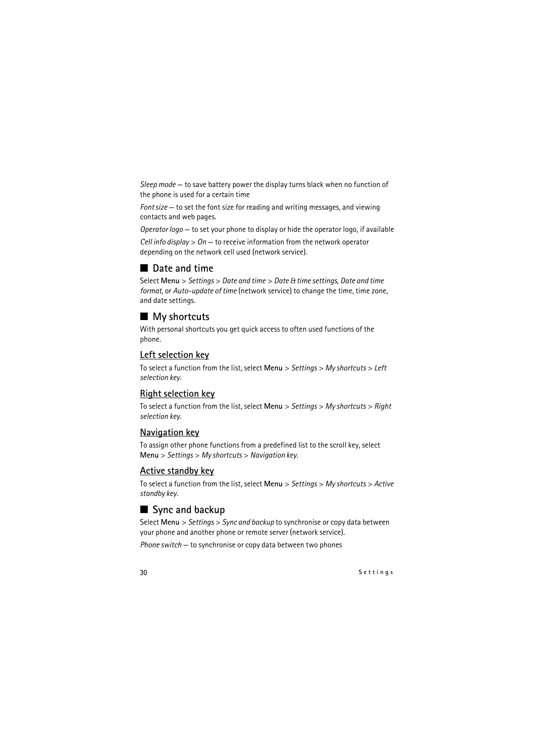*Sleep mode* — to save battery power the display turns black when no function of the phone is used for a certain time

*Font size* — to set the font size for reading and writing messages, and viewing contacts and web pages.

*Operator logo* — to set your phone to display or hide the operator logo, if available

*Cell info display* > *On* — to receive information from the network operator depending on the network cell used (network service).

### <span id="page-29-0"></span>■ **Date and time**

Select **Menu** > *Settings* > *Date and time* > *Date & time settings*, *Date and time format*, or *Auto-update of time* (network service) to change the time, time zone, and date settings.

### <span id="page-29-1"></span>■ My shortcuts

With personal shortcuts you get quick access to often used functions of the phone.

#### **Left selection key**

To select a function from the list, select **Menu** > *Settings* > *My shortcuts* > *Left selection key*.

#### **Right selection key**

To select a function from the list, select **Menu** > *Settings* > *My shortcuts* > *Right selection key*.

#### **Navigation key**

To assign other phone functions from a predefined list to the scroll key, select **Menu** > *Settings* > *My shortcuts* > *Navigation key*.

#### **Active standby key**

To select a function from the list, select **Menu** > *Settings* > *My shortcuts* > *Active standby key*.

#### <span id="page-29-2"></span>■ Sync and backup

Select **Menu** > *Settings* > *Sync and backup* to synchronise or copy data between your phone and another phone or remote server (network service).

*Phone switch* — to synchronise or copy data between two phones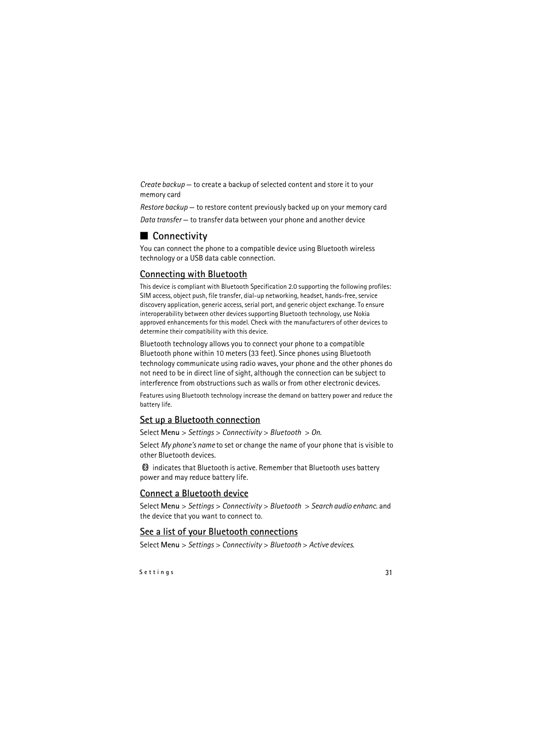*Create backup* — to create a backup of selected content and store it to your memory card

*Restore backup* — to restore content previously backed up on your memory card *Data transfer* — to transfer data between your phone and another device

# <span id="page-30-0"></span>■ **Connectivity**

You can connect the phone to a compatible device using Bluetooth wireless technology or a USB data cable connection.

### **Connecting with Bluetooth**

This device is compliant with Bluetooth Specification 2.0 supporting the following profiles: SIM access, object push, file transfer, dial-up networking, headset, hands-free, service discovery application, generic access, serial port, and generic object exchange. To ensure interoperability between other devices supporting Bluetooth technology, use Nokia approved enhancements for this model. Check with the manufacturers of other devices to determine their compatibility with this device.

Bluetooth technology allows you to connect your phone to a compatible Bluetooth phone within 10 meters (33 feet). Since phones using Bluetooth technology communicate using radio waves, your phone and the other phones do not need to be in direct line of sight, although the connection can be subject to interference from obstructions such as walls or from other electronic devices.

Features using Bluetooth technology increase the demand on battery power and reduce the battery life.

#### **Set up a Bluetooth connection**

Select **Menu** > *Settings* > *Connectivity* > *Bluetooth* > *On*.

Select *My phone's name* to set or change the name of your phone that is visible to other Bluetooth devices.

 $\otimes$  indicates that Bluetooth is active. Remember that Bluetooth uses battery power and may reduce battery life.

#### **Connect a Bluetooth device**

Select **Menu** > *Settings* > *Connectivity* > *Bluetooth* > *Search audio enhanc.* and the device that you want to connect to.

#### **See a list of your Bluetooth connections**

Select **Menu** > *Settings* > *Connectivity* > *Bluetooth* > *Active devices*.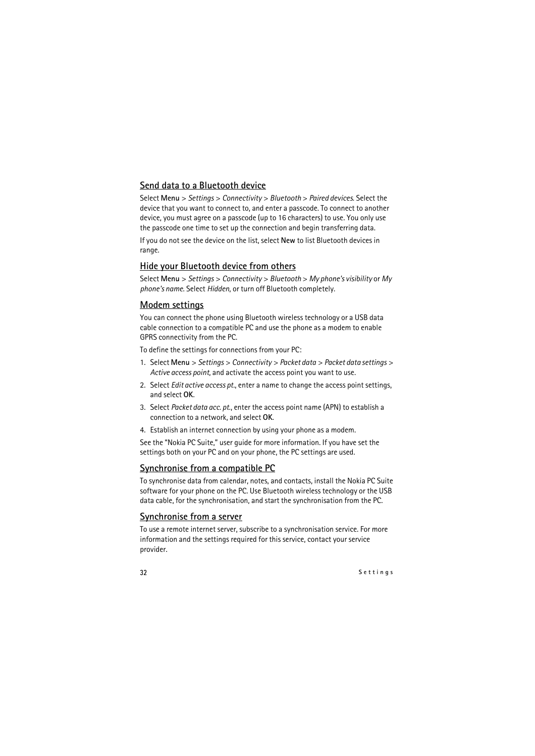#### **Send data to a Bluetooth device**

Select **Menu** > *Settings* > *Connectivity* > *Bluetooth* > *Paired devices*. Select the device that you want to connect to, and enter a passcode. To connect to another device, you must agree on a passcode (up to 16 characters) to use. You only use the passcode one time to set up the connection and begin transferring data.

If you do not see the device on the list, select **New** to list Bluetooth devices in range.

#### **Hide your Bluetooth device from others**

Select **Menu** > *Settings* > *Connectivity* > *Bluetooth* > *My phone's visibility* or *My phone's name*. Select *Hidden*, or turn off Bluetooth completely.

#### **Modem settings**

You can connect the phone using Bluetooth wireless technology or a USB data cable connection to a compatible PC and use the phone as a modem to enable GPRS connectivity from the PC.

To define the settings for connections from your PC:

- 1. Select **Menu** > *Settings* > *Connectivity* > *Packet data* > *Packet data settings* > *Active access point*, and activate the access point you want to use.
- 2. Select *Edit active access pt.*, enter a name to change the access point settings, and select **OK**.
- 3. Select *Packet data acc. pt.*, enter the access point name (APN) to establish a connection to a network, and select **OK**.
- 4. Establish an internet connection by using your phone as a modem.

See the ["Nokia PC Suite,"](#page-48-1) user guide for more information. If you have set the settings both on your PC and on your phone, the PC settings are used.

#### **Synchronise from a compatible PC**

To synchronise data from calendar, notes, and contacts, install the Nokia PC Suite software for your phone on the PC. Use Bluetooth wireless technology or the USB data cable, for the synchronisation, and start the synchronisation from the PC.

#### **Synchronise from a server**

To use a remote internet server, subscribe to a synchronisation service. For more information and the settings required for this service, contact your service provider.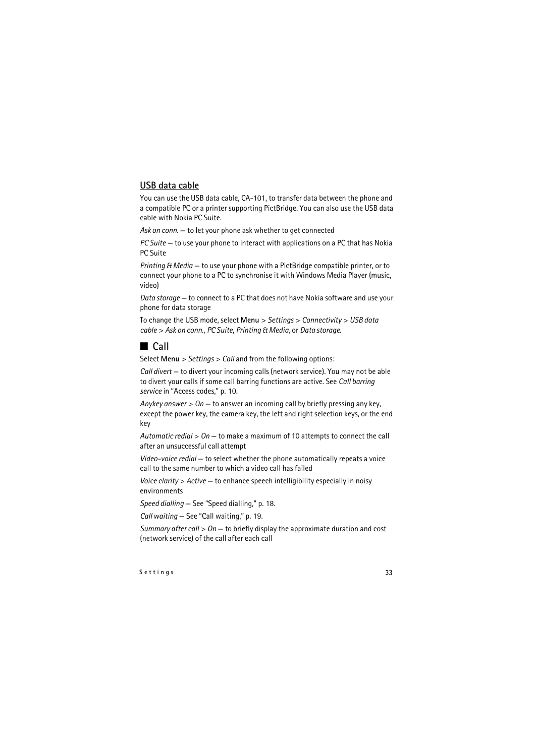#### **USB data cable**

You can use the USB data cable, CA-101, to transfer data between the phone and a compatible PC or a printer supporting PictBridge. You can also use the USB data cable with Nokia PC Suite.

*Ask on conn.* — to let your phone ask whether to get connected

*PC Suite* — to use your phone to interact with applications on a PC that has Nokia PC Suite

*Printing & Media* — to use your phone with a PictBridge compatible printer, or to connect your phone to a PC to synchronise it with Windows Media Player (music, video)

*Data storage* — to connect to a PC that does not have Nokia software and use your phone for data storage

To change the USB mode, select **Menu** > *Settings* > *Connectivity* > *USB data cable* > *Ask on conn.*, *PC Suite*, *Printing & Media*, or *Data storage*.

## <span id="page-32-0"></span>■ **Call**

Select **Menu** > *Settings* > *Call* and from the following options:

*Call divert* — to divert your incoming calls (network service). You may not be able to divert your calls if some call barring functions are active. See *Call barring service* in ["Access codes,"](#page-9-1) p. [10.](#page-9-1)

*Anykey answer* > *On* — to answer an incoming call by briefly pressing any key, except the power key, the camera key, the left and right selection keys, or the end key

*Automatic redial* > *On* — to make a maximum of 10 attempts to connect the call after an unsuccessful call attempt

*Video-voice redial* — to select whether the phone automatically repeats a voice call to the same number to which a video call has failed

*Voice clarity* > *Active* — to enhance speech intelligibility especially in noisy environments

*Speed dialling* — See ["Speed dialling,"](#page-17-1) p. [18.](#page-17-1)

*Call waiting* — See "Call waiting," p. 19.

*Summary after call* > *On* — to briefly display the approximate duration and cost (network service) of the call after each call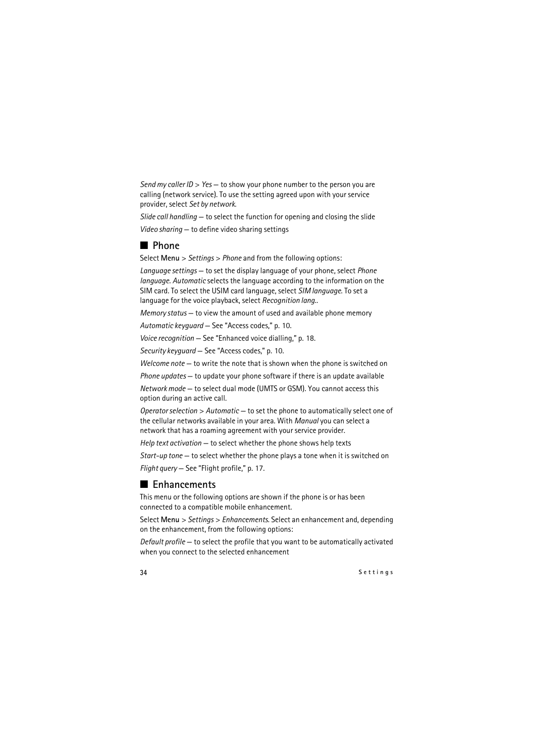*Send my caller ID* > *Yes* — to show your phone number to the person you are calling (network service). To use the setting agreed upon with your service provider, select *Set by network*.

*Slide call handling* — to select the function for opening and closing the slide *Video sharing* — to define video sharing settings

# <span id="page-33-0"></span>■ **Phone**

Select **Menu** > *Settings* > *Phone* and from the following options:

*Language settings* — to set the display language of your phone, select *Phone language*. *Automatic* selects the language according to the information on the SIM card. To select the USIM card language, select *SIM language*. To set a language for the voice playback, select *Recognition lang.*.

*Memory status* — to view the amount of used and available phone memory

*Automatic keyguard* — See ["Access codes,"](#page-9-1) p. [10](#page-9-1).

*Voice recognition* — See ["Enhanced voice dialling,"](#page-17-2) p. [18](#page-17-2).

*Security keyguard* — See ["Access codes,"](#page-9-1) p. [10](#page-9-1).

*Welcome note* — to write the note that is shown when the phone is switched on

*Phone updates* — to update your phone software if there is an update available

*Network mode* — to select dual mode (UMTS or GSM). You cannot access this option during an active call.

*Operator selection* > *Automatic* — to set the phone to automatically select one of the cellular networks available in your area. With *Manual* you can select a network that has a roaming agreement with your service provider.

*Help text activation* — to select whether the phone shows help texts

*Start-up tone* — to select whether the phone plays a tone when it is switched on *Flight query* — See ["Flight profile,"](#page-16-0) p. [17.](#page-16-0)

# <span id="page-33-1"></span>■ **Enhancements**

This menu or the following options are shown if the phone is or has been connected to a compatible mobile enhancement.

Select **Menu** > *Settings* > *Enhancements*. Select an enhancement and, depending on the enhancement, from the following options:

*Default profile* — to select the profile that you want to be automatically activated when you connect to the selected enhancement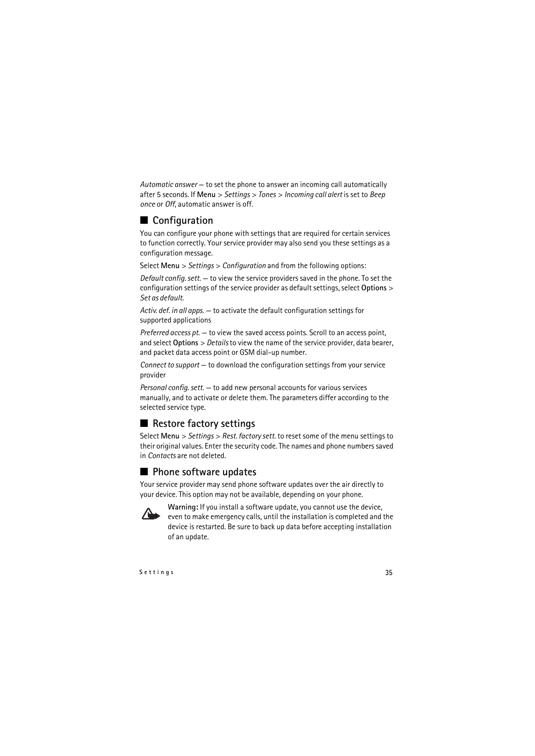*Automatic answer* — to set the phone to answer an incoming call automatically after 5 seconds. If **Menu** > *Settings* > *Tones* > *Incoming call alert* is set to *Beep once* or *Off*, automatic answer is off.

# <span id="page-34-0"></span>■ **Configuration**

You can configure your phone with settings that are required for certain services to function correctly. Your service provider may also send you these settings as a configuration message.

Select **Menu** > *Settings* > *Configuration* and from the following options:

*Default config. sett.* — to view the service providers saved in the phone. To set the configuration settings of the service provider as default settings, select **Options** > *Set as default*.

*Activ. def. in all apps.* — to activate the default configuration settings for supported applications

*Preferred access pt.* — to view the saved access points. Scroll to an access point, and select **Options** > *Details* to view the name of the service provider, data bearer, and packet data access point or GSM dial-up number.

*Connect to support* — to download the configuration settings from your service provider

*Personal config. sett.* — to add new personal accounts for various services manually, and to activate or delete them. The parameters differ according to the selected service type.

# <span id="page-34-1"></span>■ **Restore factory settings**

Select **Menu** > *Settings* > *Rest. factory sett.* to reset some of the menu settings to their original values. Enter the security code. The names and phone numbers saved in *Contacts* are not deleted.

# <span id="page-34-2"></span>■ **Phone software updates**

Your service provider may send phone software updates over the air directly to your device. This option may not be available, depending on your phone.



**Warning:** If you install a software update, you cannot use the device, even to make emergency calls, until the installation is completed and the device is restarted. Be sure to back up data before accepting installation of an update.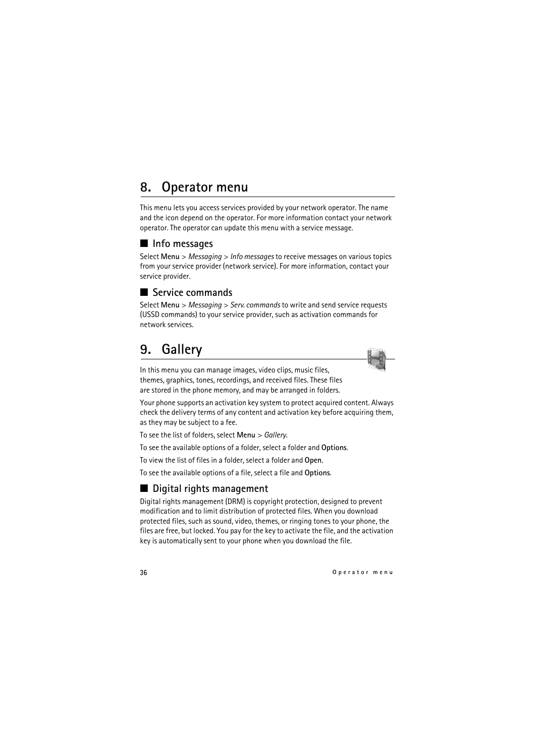# <span id="page-35-0"></span>**8. Operator menu**

This menu lets you access services provided by your network operator. The name and the icon depend on the operator. For more information contact your network operator. The operator can update this menu with a service message.

## <span id="page-35-1"></span>■ **Info messages**

Select **Menu** > *Messaging* > *Info messages* to receive messages on various topics from your service provider (network service). For more information, contact your service provider.

## <span id="page-35-2"></span>■ **Service commands**

Select **Menu** > *Messaging* > *Serv. commands* to write and send service requests (USSD commands) to your service provider, such as activation commands for network services.

# <span id="page-35-3"></span>**9. Gallery**

In this menu you can manage images, video clips, music files, themes, graphics, tones, recordings, and received files. These files are stored in the phone memory, and may be arranged in folders.

Your phone supports an activation key system to protect acquired content. Always check the delivery terms of any content and activation key before acquiring them, as they may be subject to a fee.

To see the list of folders, select **Menu** > *Gallery*.

To see the available options of a folder, select a folder and **Options**.

To view the list of files in a folder, select a folder and **Open**.

To see the available options of a file, select a file and **Options**.

# <span id="page-35-4"></span>■ **Digital rights management**

Digital rights management (DRM) is copyright protection, designed to prevent modification and to limit distribution of protected files. When you download protected files, such as sound, video, themes, or ringing tones to your phone, the files are free, but locked. You pay for the key to activate the file, and the activation key is automatically sent to your phone when you download the file.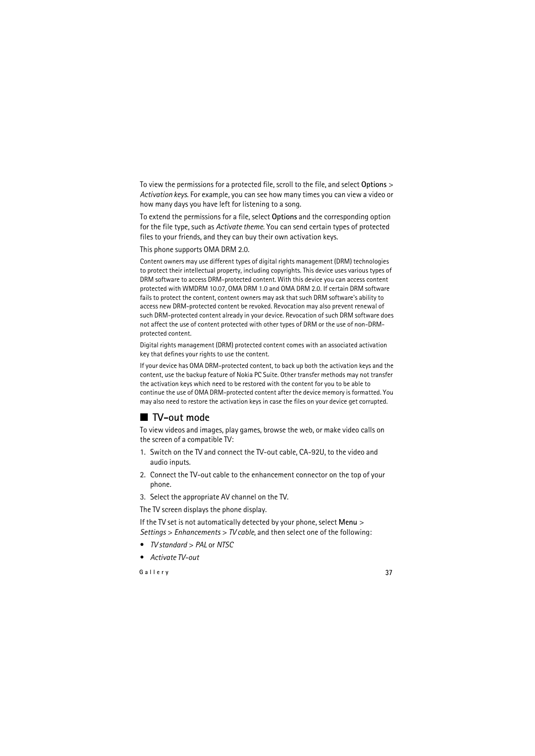To view the permissions for a protected file, scroll to the file, and select **Options** > *Activation keys*. For example, you can see how many times you can view a video or how many days you have left for listening to a song.

To extend the permissions for a file, select **Options** and the corresponding option for the file type, such as *Activate theme*. You can send certain types of protected files to your friends, and they can buy their own activation keys.

This phone supports OMA DRM 2.0.

Content owners may use different types of digital rights management (DRM) technologies to protect their intellectual property, including copyrights. This device uses various types of DRM software to access DRM-protected content. With this device you can access content protected with WMDRM 10.07, OMA DRM 1.0 and OMA DRM 2.0. If certain DRM software fails to protect the content, content owners may ask that such DRM software's ability to access new DRM-protected content be revoked. Revocation may also prevent renewal of such DRM-protected content already in your device. Revocation of such DRM software does not affect the use of content protected with other types of DRM or the use of non-DRMprotected content.

Digital rights management (DRM) protected content comes with an associated activation key that defines your rights to use the content.

If your device has OMA DRM-protected content, to back up both the activation keys and the content, use the backup feature of Nokia PC Suite. Other transfer methods may not transfer the activation keys which need to be restored with the content for you to be able to continue the use of OMA DRM-protected content after the device memory is formatted. You may also need to restore the activation keys in case the files on your device get corrupted.

# <span id="page-36-0"></span>■ **TV-out** mode

To view videos and images, play games, browse the web, or make video calls on the screen of a compatible TV:

- 1. Switch on the TV and connect the TV-out cable, CA-92U, to the video and audio inputs.
- 2. Connect the TV-out cable to the enhancement connector on the top of your phone.
- 3. Select the appropriate AV channel on the TV.

The TV screen displays the phone display.

If the TV set is not automatically detected by your phone, select **Menu** > *Settings* > *Enhancements* > *TV cable*, and then select one of the following:

- *TV standard* > *PAL* or *NTSC*
- *Activate TV-out*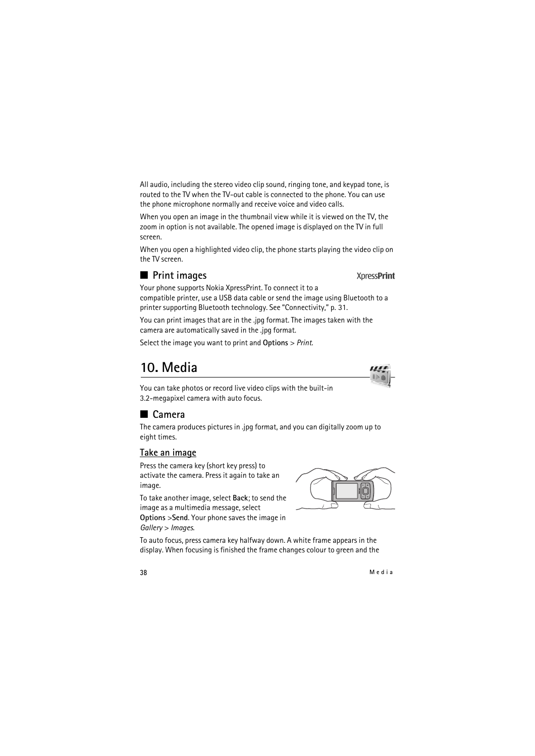All audio, including the stereo video clip sound, ringing tone, and keypad tone, is routed to the TV when the TV-out cable is connected to the phone. You can use the phone microphone normally and receive voice and video calls.

When you open an image in the thumbnail view while it is viewed on the TV, the zoom in option is not available. The opened image is displayed on the TV in full screen.

When you open a highlighted video clip, the phone starts playing the video clip on the TV screen.

## <span id="page-37-0"></span>■ **Print images**

Your phone supports Nokia XpressPrint. To connect it to a compatible printer, use a USB data cable or send the image using Bluetooth to a printer supporting Bluetooth technology. See ["Connectivity,"](#page-30-0) p. [31](#page-30-0).

You can print images that are in the .jpg format. The images taken with the camera are automatically saved in the .jpg format.

Select the image you want to print and **Options** > *Print*.

# <span id="page-37-1"></span>**10. Media**

You can take photos or record live video clips with the built-in 3.2-megapixel camera with auto focus.

### <span id="page-37-2"></span>■ **Camera**

The camera produces pictures in .jpg format, and you can digitally zoom up to eight times.

#### **Take an image**

Press the camera key (short key press) to activate the camera. Press it again to take an image.

To take another image, select **Back**; to send the image as a multimedia message, select

**Options** >**Send**. Your phone saves the image in *Gallery* > *Images*.

To auto focus, press camera key halfway down. A white frame appears in the display. When focusing is finished the frame changes colour to green and the



**XpressPrint**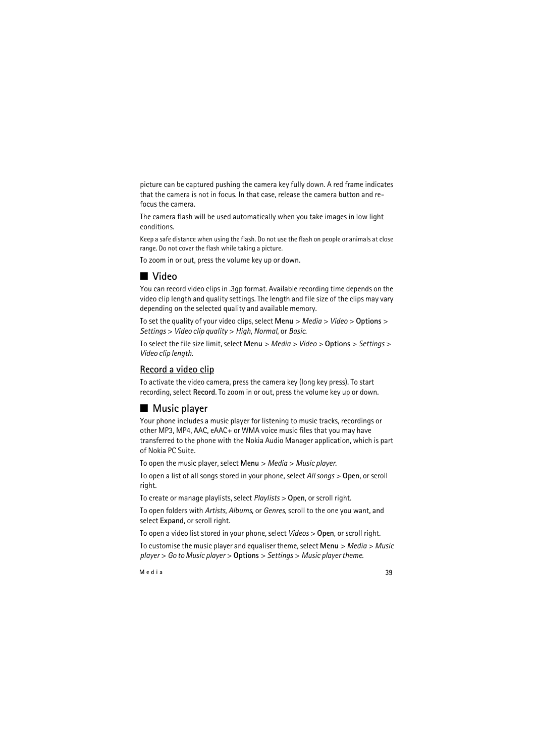picture can be captured pushing the camera key fully down. A red frame indicates that the camera is not in focus. In that case, release the camera button and refocus the camera.

The camera flash will be used automatically when you take images in low light conditions.

Keep a safe distance when using the flash. Do not use the flash on people or animals at close range. Do not cover the flash while taking a picture.

To zoom in or out, press the volume key up or down.

# <span id="page-38-0"></span>■ **Video**

You can record video clips in .3gp format. Available recording time depends on the video clip length and quality settings. The length and file size of the clips may vary depending on the selected quality and available memory.

To set the quality of your video clips, select **Menu** > *Media* > *Video* > **Options** > *Settings* > *Video clip quality* > *High*, *Normal*, or *Basic*.

To select the file size limit, select **Menu** > *Media* > *Video* > **Options** > *Settings* > *Video clip length*.

#### **Record a video clip**

To activate the video camera, press the camera key (long key press). To start recording, select **Record**. To zoom in or out, press the volume key up or down.

# <span id="page-38-1"></span>■ Music player

Your phone includes a music player for listening to music tracks, recordings or other MP3, MP4, AAC, eAAC+ or WMA voice music files that you may have transferred to the phone with the Nokia Audio Manager application, which is part of Nokia PC Suite.

To open the music player, select **Menu** > *Media* > *Music player*.

To open a list of all songs stored in your phone, select *All songs* > **Open**, or scroll right.

To create or manage playlists, select *Playlists* > **Open**, or scroll right.

To open folders with *Artists*, *Albums*, or *Genres*, scroll to the one you want, and select **Expand**, or scroll right.

To open a video list stored in your phone, select *Videos* > **Open**, or scroll right.

To customise the music player and equaliser theme, select **Menu** > *Media* > *Music player* > *Go to Music player* > **Options** > *Settings* > *Music player theme*.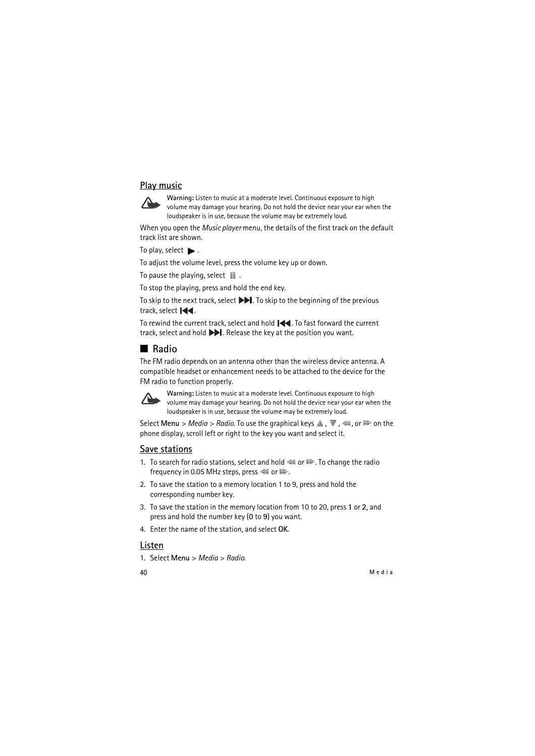#### **Play music**



**Warning:** Listen to music at a moderate level. Continuous exposure to high volume may damage your hearing. Do not hold the device near your ear when the loudspeaker is in use, because the volume may be extremely loud.

When you open the *Music player* menu, the details of the first track on the default track list are shown.

To play, select  $\blacktriangleright$ .

To adjust the volume level, press the volume key up or down.

To pause the playing, select  $\blacksquare$ .

To stop the playing, press and hold the end key.

To skip to the next track, select  $\blacktriangleright$ . To skip to the beginning of the previous track, select  $\mathsf{Id}$ .

To rewind the current track, select and hold  $\blacktriangleleft$ . To fast forward the current track, select and hold  $\blacktriangleright$ . Release the key at the position you want.

### <span id="page-39-0"></span>■ **Radio**

The FM radio depends on an antenna other than the wireless device antenna. A compatible headset or enhancement needs to be attached to the device for the FM radio to function properly.



**Warning:** Listen to music at a moderate level. Continuous exposure to high volume may damage your hearing. Do not hold the device near your ear when the loudspeaker is in use, because the volume may be extremely loud.

Select Menu > *Media* > *Radio*. To use the graphical keys  $\triangle$ ,  $\blacktriangledown$ ,  $\triangleleft$ , or  $\blacktriangleright$  on the phone display, scroll left or right to the key you want and select it.

#### **Save stations**

- 1. To search for radio stations, select and hold  $\blacktriangleleft$  or  $\blacktriangleright$ . To change the radio frequency in 0.05 MHz steps, press  $41$  or  $\gg$ .
- 2. To save the station to a memory location 1 to 9, press and hold the corresponding number key.
- 3. To save the station in the memory location from 10 to 20, press **1** or **2**, and press and hold the number key (**0** to **9**) you want.
- 4. Enter the name of the station, and select **OK**.

#### **Listen**

1. Select **Menu** > *Media* > *Radio*.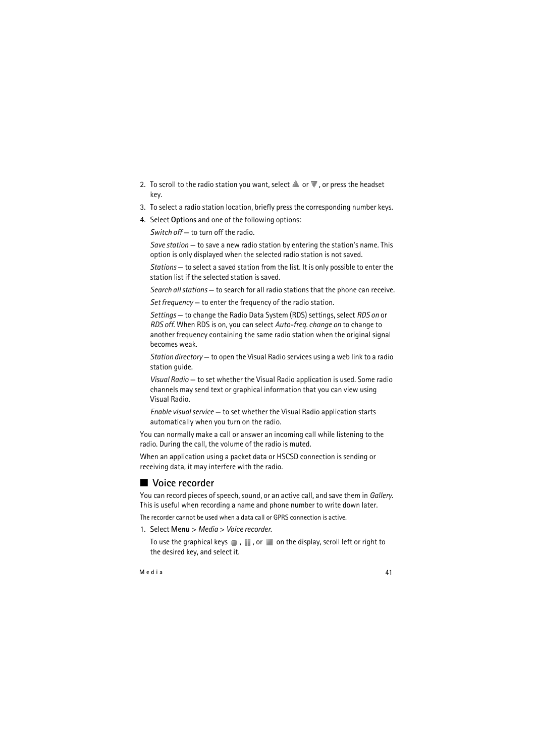- 2. To scroll to the radio station you want, select  $\triangle$  or  $\blacktriangledown$ , or press the headset key.
- 3. To select a radio station location, briefly press the corresponding number keys.
- 4. Select **Options** and one of the following options:

*Switch off* — to turn off the radio.

*Save station* — to save a new radio station by entering the station's name. This option is only displayed when the selected radio station is not saved.

*Stations* — to select a saved station from the list. It is only possible to enter the station list if the selected station is saved.

*Search all stations* — to search for all radio stations that the phone can receive.

*Set frequency* — to enter the frequency of the radio station.

*Settings* — to change the Radio Data System (RDS) settings, select *RDS on* or *RDS off*. When RDS is on, you can select *Auto-freq. change on* to change to another frequency containing the same radio station when the original signal becomes weak.

*Station directory* — to open the Visual Radio services using a web link to a radio station guide.

*Visual Radio* — to set whether the Visual Radio application is used. Some radio channels may send text or graphical information that you can view using Visual Radio.

*Enable visual service* — to set whether the Visual Radio application starts automatically when you turn on the radio.

You can normally make a call or answer an incoming call while listening to the radio. During the call, the volume of the radio is muted.

When an application using a packet data or HSCSD connection is sending or receiving data, it may interfere with the radio.

# <span id="page-40-0"></span>■ Voice recorder

You can record pieces of speech, sound, or an active call, and save them in *Gallery*. This is useful when recording a name and phone number to write down later.

The recorder cannot be used when a data call or GPRS connection is active.

1. Select **Menu** > *Media* > *Voice recorder*.

To use the graphical keys  $\Box$ ,  $\Box$ , or  $\Box$  on the display, scroll left or right to the desired key, and select it.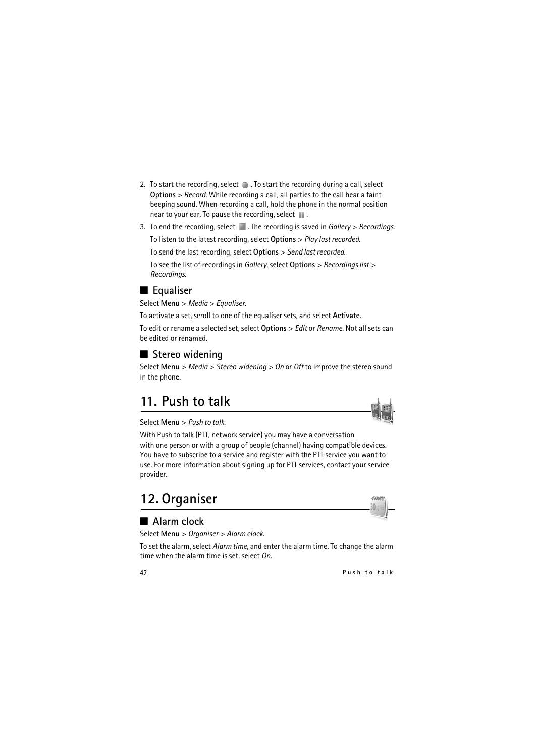- 2. To start the recording, select  $\bigcirc$  . To start the recording during a call, select **Options** > *Record*. While recording a call, all parties to the call hear a faint beeping sound. When recording a call, hold the phone in the normal position near to your ear. To pause the recording, select  $\blacksquare$ .
- 3. To end the recording, select . The recording is saved in *Gallery* > *Recordings*.

To listen to the latest recording, select **Options** > *Play last recorded*.

To send the last recording, select **Options** > *Send last recorded*.

To see the list of recordings in *Gallery*, select **Options** > *Recordings list* > *Recordings*.

## <span id="page-41-0"></span>■ **Equaliser**

Select **Menu** > *Media* > *Equaliser*.

To activate a set, scroll to one of the equaliser sets, and select **Activate**.

To edit or rename a selected set, select **Options** > *Edit* or *Rename*. Not all sets can be edited or renamed.

# <span id="page-41-1"></span>■ Stereo widening

Select **Menu** > *Media* > *Stereo widening* > *On* or *Off* to improve the stereo sound in the phone.

# <span id="page-41-2"></span>**11. Push to talk**

Select **Menu** > *Push to talk*.

With Push to talk (PTT, network service) you may have a conversation with one person or with a group of people (channel) having compatible devices. You have to subscribe to a service and register with the PTT service you want to use. For more information about signing up for PTT services, contact your service provider.

# <span id="page-41-3"></span>**12. Organiser**

# <span id="page-41-4"></span>■ **Alarm** clock

Select **Menu** > *Organiser* > *Alarm clock*.

To set the alarm, select *Alarm time*, and enter the alarm time. To change the alarm time when the alarm time is set, select *On*.



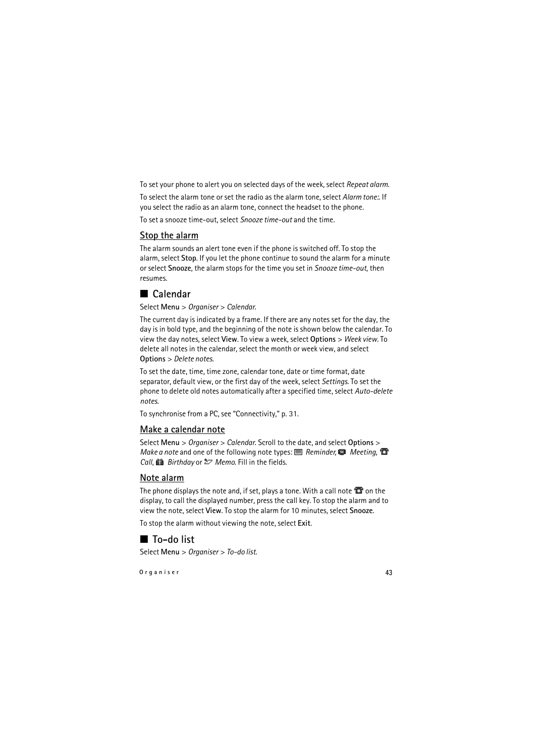To set your phone to alert you on selected days of the week, select *Repeat alarm*.

To select the alarm tone or set the radio as the alarm tone, select *Alarm tone:*. If you select the radio as an alarm tone, connect the headset to the phone. To set a snooze time-out, select *Snooze time-out* and the time.

#### **Stop the alarm**

The alarm sounds an alert tone even if the phone is switched off. To stop the alarm, select **Stop**. If you let the phone continue to sound the alarm for a minute or select **Snooze**, the alarm stops for the time you set in *Snooze time-out*, then resumes.

# <span id="page-42-0"></span>■ **Calendar**

Select **Menu** > *Organiser* > *Calendar*.

The current day is indicated by a frame. If there are any notes set for the day, the day is in bold type, and the beginning of the note is shown below the calendar. To view the day notes, select **View**. To view a week, select **Options** > *Week view*. To delete all notes in the calendar, select the month or week view, and select **Options** > *Delete notes*.

To set the date, time, time zone, calendar tone, date or time format, date separator, default view, or the first day of the week, select *Settings*. To set the phone to delete old notes automatically after a specified time, select *Auto-delete notes*.

To synchronise from a PC, see ["Connectivity,"](#page-30-0) p. [31.](#page-30-0)

#### **Make a calendar note**

Select **Menu** > *Organiser* > *Calendar*. Scroll to the date, and select **Options** > *Make a note* and one of the following note types: *E Reminder*, **@** Meeting, **@** *Call*, *Birthday* or *Memo*. Fill in the fields.

#### **Note alarm**

The phone displays the note and, if set, plays a tone. With a call note  $\mathbf \mathbf \Xi$  on the display, to call the displayed number, press the call key. To stop the alarm and to view the note, select **View**. To stop the alarm for 10 minutes, select **Snooze**.

To stop the alarm without viewing the note, select **Exit**.

# <span id="page-42-1"></span>■ **To-do list**

Select **Menu** > *Organiser* > *To-do list*.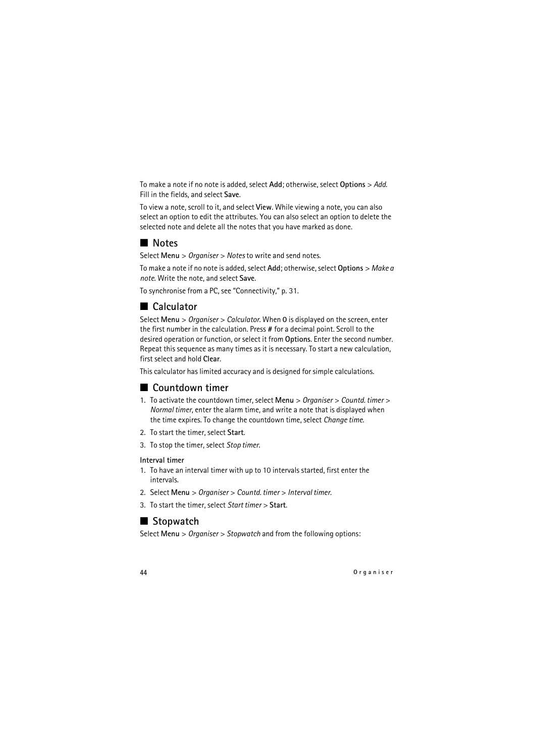To make a note if no note is added, select **Add**; otherwise, select **Options** > *Add*. Fill in the fields, and select **Save**.

To view a note, scroll to it, and select **View**. While viewing a note, you can also select an option to edit the attributes. You can also select an option to delete the selected note and delete all the notes that you have marked as done.

# <span id="page-43-0"></span>■ **Notes**

Select **Menu** > *Organiser* > *Notes* to write and send notes.

To make a note if no note is added, select **Add**; otherwise, select **Options** > *Make a note*. Write the note, and select **Save**.

To synchronise from a PC, see ["Connectivity,"](#page-30-0) p. [31.](#page-30-0)

# <span id="page-43-1"></span>■ **Calculator**

Select **Menu** > *Organiser* > *Calculator*. When **0** is displayed on the screen, enter the first number in the calculation. Press **#** for a decimal point. Scroll to the desired operation or function, or select it from **Options**. Enter the second number. Repeat this sequence as many times as it is necessary. To start a new calculation, first select and hold **Clear**.

This calculator has limited accuracy and is designed for simple calculations.

## <span id="page-43-2"></span>■ **Countdown timer**

- 1. To activate the countdown timer, select **Menu** > *Organiser* > *Countd. timer* > *Normal timer*, enter the alarm time, and write a note that is displayed when the time expires. To change the countdown time, select *Change time*.
- 2. To start the timer, select **Start**.
- 3. To stop the timer, select *Stop timer*.

#### **Interval timer**

- 1. To have an interval timer with up to 10 intervals started, first enter the intervals.
- 2. Select **Menu** > *Organiser* > *Countd. timer* > *Interval timer*.
- 3. To start the timer, select *Start timer* > **Start**.

# <span id="page-43-3"></span>■ Stopwatch

Select **Menu** > *Organiser* > *Stopwatch* and from the following options: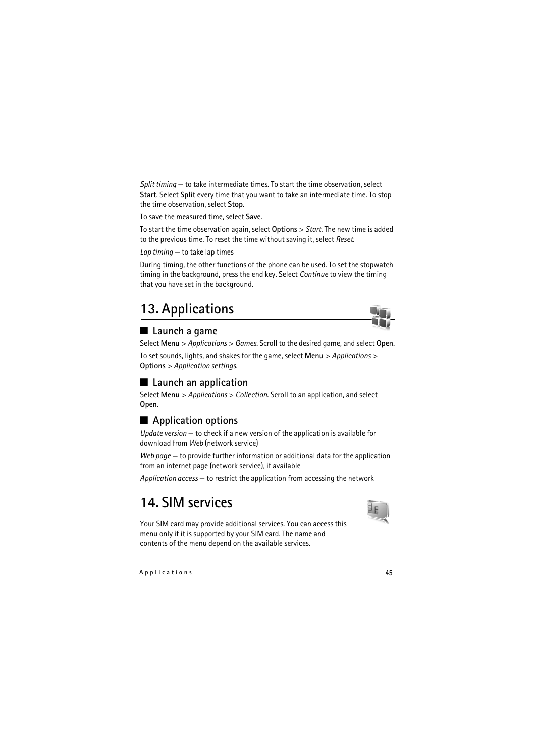*Split timing* — to take intermediate times. To start the time observation, select **Start**. Select **Split** every time that you want to take an intermediate time. To stop the time observation, select **Stop**.

To save the measured time, select **Save**.

To start the time observation again, select **Options** > *Start*. The new time is added to the previous time. To reset the time without saving it, select *Reset*.

*Lap timing* — to take lap times

During timing, the other functions of the phone can be used. To set the stopwatch timing in the background, press the end key. Select *Continue* to view the timing that you have set in the background.

# <span id="page-44-0"></span>**13. Applications**

### <span id="page-44-1"></span>■ Launch a game

Select **Menu** > *Applications* > *Games*. Scroll to the desired game, and select **Open**.

To set sounds, lights, and shakes for the game, select **Menu** > *Applications* > **Options** > *Application settings*.

### <span id="page-44-2"></span>■ Launch an application

Select **Menu** > *Applications* > *Collection*. Scroll to an application, and select **Open**.

### <span id="page-44-3"></span>■ **Application options**

*Update version* — to check if a new version of the application is available for download from *Web* (network service)

*Web page* — to provide further information or additional data for the application from an internet page (network service), if available

*Application access* — to restrict the application from accessing the network

# <span id="page-44-4"></span>**14. SIM services**

Your SIM card may provide additional services. You can access this menu only if it is supported by your SIM card. The name and contents of the menu depend on the available services.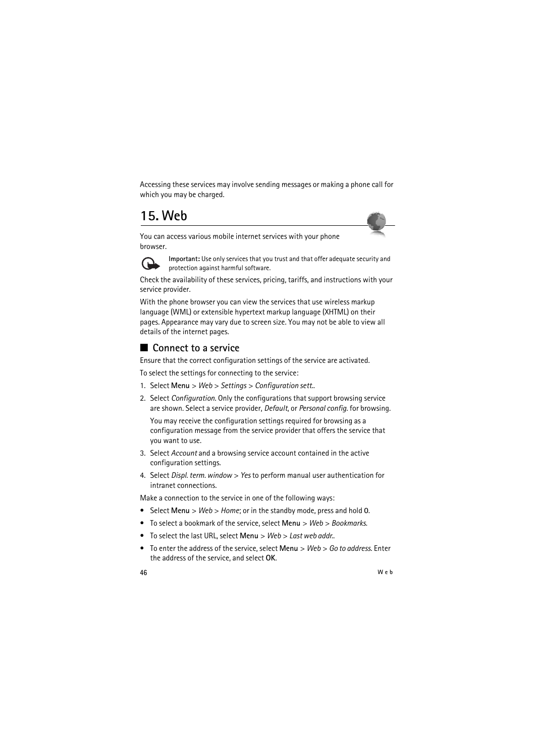Accessing these services may involve sending messages or making a phone call for which you may be charged.

# <span id="page-45-0"></span>**15. Web**

You can access various mobile internet services with your phone browser.



**Important:** Use only services that you trust and that offer adequate security and protection against harmful software.

Check the availability of these services, pricing, tariffs, and instructions with your service provider.

With the phone browser you can view the services that use wireless markup language (WML) or extensible hypertext markup language (XHTML) on their pages. Appearance may vary due to screen size. You may not be able to view all details of the internet pages.

## <span id="page-45-1"></span>■ **Connect to a service**

Ensure that the correct configuration settings of the service are activated.

To select the settings for connecting to the service:

- 1. Select **Menu** > *Web* > *Settings* > *Configuration sett.*.
- 2. Select *Configuration*. Only the configurations that support browsing service are shown. Select a service provider, *Default*, or *Personal config.* for browsing.

You may receive the configuration settings required for browsing as a configuration message from the service provider that offers the service that you want to use.

- 3. Select *Account* and a browsing service account contained in the active configuration settings.
- 4. Select *Displ. term. window* > *Yes* to perform manual user authentication for intranet connections.

Make a connection to the service in one of the following ways:

- Select **Menu** > *Web* > *Home*; or in the standby mode, press and hold **0**.
- To select a bookmark of the service, select **Menu** > *Web* > *Bookmarks*.
- To select the last URL, select **Menu** > *Web* > *Last web addr.*.
- To enter the address of the service, select **Menu** > *Web* > *Go to address*. Enter the address of the service, and select **OK**.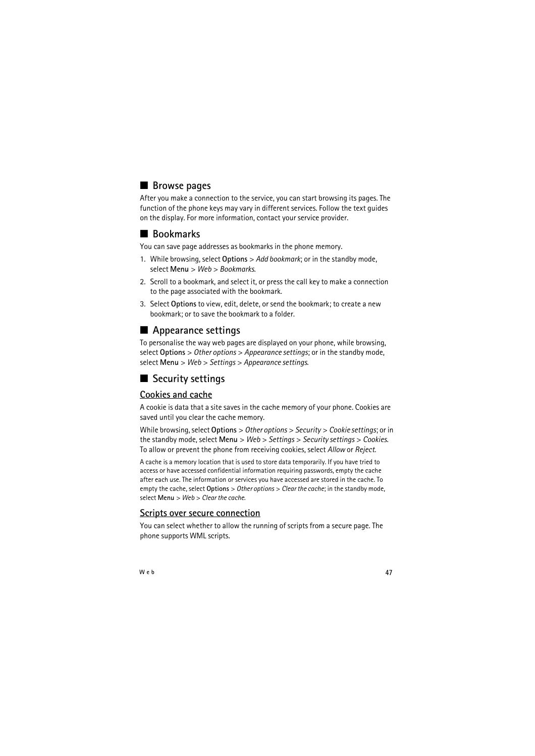# <span id="page-46-0"></span>■ **Browse pages**

After you make a connection to the service, you can start browsing its pages. The function of the phone keys may vary in different services. Follow the text guides on the display. For more information, contact your service provider.

## <span id="page-46-1"></span>■ **Bookmarks**

You can save page addresses as bookmarks in the phone memory.

- 1. While browsing, select **Options** > *Add bookmark*; or in the standby mode, select **Menu** > *Web* > *Bookmarks*.
- 2. Scroll to a bookmark, and select it, or press the call key to make a connection to the page associated with the bookmark.
- 3. Select **Options** to view, edit, delete, or send the bookmark; to create a new bookmark; or to save the bookmark to a folder.

# <span id="page-46-2"></span>■ **Appearance settings**

To personalise the way web pages are displayed on your phone, while browsing, select **Options** > *Other options* > *Appearance settings*; or in the standby mode, select **Menu** > *Web* > *Settings* > *Appearance settings*.

# <span id="page-46-3"></span>■ **Security settings**

### **Cookies and cache**

A cookie is data that a site saves in the cache memory of your phone. Cookies are saved until you clear the cache memory.

While browsing, select **Options** > *Other options* > *Security* > *Cookie settings*; or in the standby mode, select **Menu** > *Web* > *Settings* > *Security settings* > *Cookies*. To allow or prevent the phone from receiving cookies, select *Allow* or *Reject*.

A cache is a memory location that is used to store data temporarily. If you have tried to access or have accessed confidential information requiring passwords, empty the cache after each use. The information or services you have accessed are stored in the cache. To empty the cache, select **Options** > *Other options* > *Clear the cache*; in the standby mode, select **Menu** > *Web* > *Clear the cache*.

#### **Scripts over secure connection**

You can select whether to allow the running of scripts from a secure page. The phone supports WML scripts.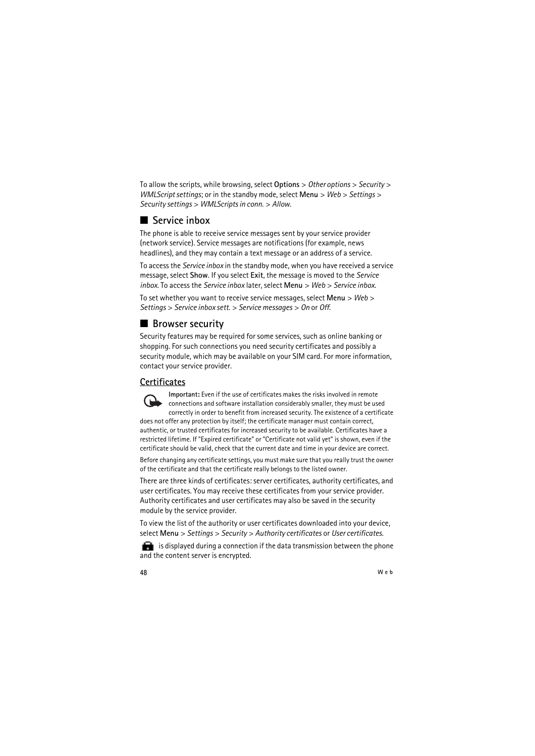To allow the scripts, while browsing, select **Options** > *Other options* > *Security* > *WMLScript settings*; or in the standby mode, select **Menu** > *Web* > *Settings* > *Security settings* > *WMLScripts in conn.* > *Allow*.

# <span id="page-47-0"></span>■ **Service inbox**

The phone is able to receive service messages sent by your service provider (network service). Service messages are notifications (for example, news headlines), and they may contain a text message or an address of a service.

To access the *Service inbox* in the standby mode, when you have received a service message, select **Show**. If you select **Exit**, the message is moved to the *Service inbox*. To access the *Service inbox* later, select **Menu** > *Web* > *Service inbox*.

To set whether you want to receive service messages, select **Menu** > *Web* > *Settings* > *Service inbox sett.* > *Service messages* > *On* or *Off*.

# <span id="page-47-1"></span>■ **Browser security**

Security features may be required for some services, such as online banking or shopping. For such connections you need security certificates and possibly a security module, which may be available on your SIM card. For more information, contact your service provider.

### **Certificates**

**Important:** Even if the use of certificates makes the risks involved in remote connections and software installation considerably smaller, they must be used correctly in order to benefit from increased security. The existence of a certificate does not offer any protection by itself; the certificate manager must contain correct, authentic, or trusted certificates for increased security to be available. Certificates have a restricted lifetime. If "Expired certificate" or "Certificate not valid yet" is shown, even if the certificate should be valid, check that the current date and time in your device are correct.

Before changing any certificate settings, you must make sure that you really trust the owner of the certificate and that the certificate really belongs to the listed owner.

There are three kinds of certificates: server certificates, authority certificates, and user certificates. You may receive these certificates from your service provider. Authority certificates and user certificates may also be saved in the security module by the service provider.

To view the list of the authority or user certificates downloaded into your device, select **Menu** > *Settings* > *Security* > *Authority certificates* or *User certificates*.

 $\blacksquare$  is displayed during a connection if the data transmission between the phone and the content server is encrypted.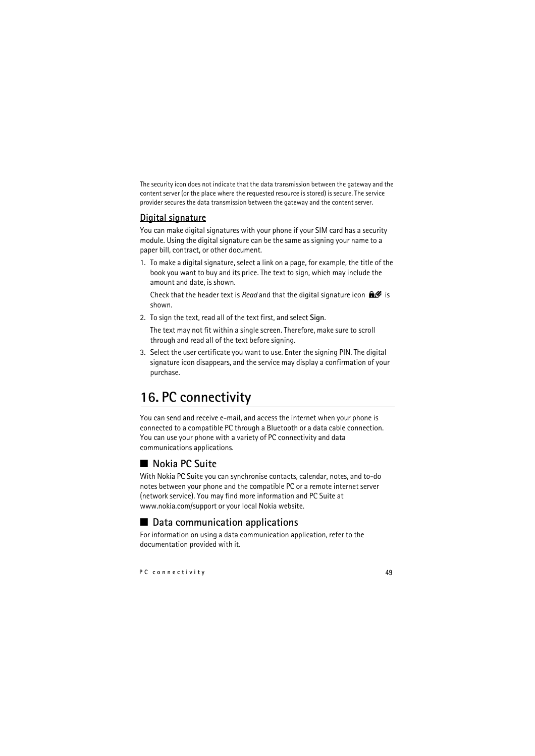The security icon does not indicate that the data transmission between the gateway and the content server (or the place where the requested resource is stored) is secure. The service provider secures the data transmission between the gateway and the content server.

#### **Digital signature**

You can make digital signatures with your phone if your SIM card has a security module. Using the digital signature can be the same as signing your name to a paper bill, contract, or other document.

1. To make a digital signature, select a link on a page, for example, the title of the book you want to buy and its price. The text to sign, which may include the amount and date, is shown.

Check that the header text is *Read* and that the digital signature icon  $\mathbf{f}$  is shown.

2. To sign the text, read all of the text first, and select **Sign**.

The text may not fit within a single screen. Therefore, make sure to scroll through and read all of the text before signing.

3. Select the user certificate you want to use. Enter the signing PIN. The digital signature icon disappears, and the service may display a confirmation of your purchase.

# <span id="page-48-0"></span>**16. PC connectivity**

You can send and receive e-mail, and access the internet when your phone is connected to a compatible PC through a Bluetooth or a data cable connection. You can use your phone with a variety of PC connectivity and data communications applications.

# <span id="page-48-1"></span>■ **Nokia PC Suite**

With Nokia PC Suite you can synchronise contacts, calendar, notes, and to-do notes between your phone and the compatible PC or a remote internet server (network service). You may find more information and PC Suite at www.nokia.com/support or your local Nokia website.

## <span id="page-48-2"></span>■ **Data communication applications**

For information on using a data communication application, refer to the documentation provided with it.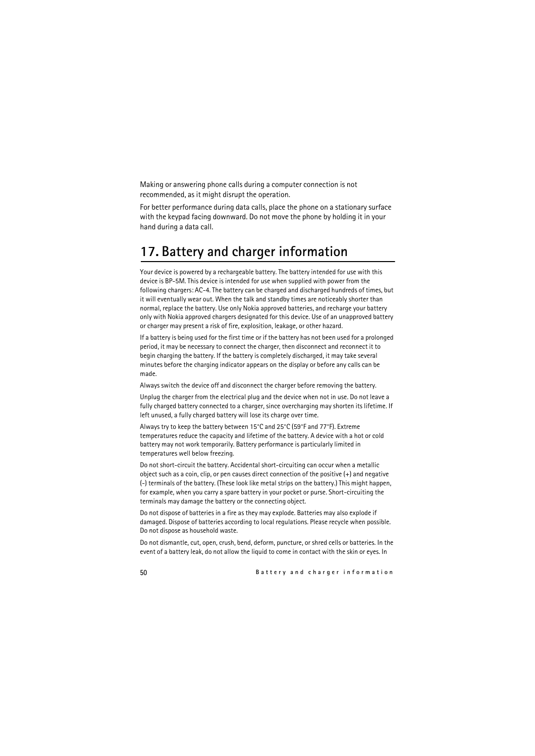Making or answering phone calls during a computer connection is not recommended, as it might disrupt the operation.

For better performance during data calls, place the phone on a stationary surface with the keypad facing downward. Do not move the phone by holding it in your hand during a data call.

# <span id="page-49-0"></span>**17. Battery and charger information**

Your device is powered by a rechargeable battery. The battery intended for use with this device is BP-5M. This device is intended for use when supplied with power from the following chargers: AC-4. The battery can be charged and discharged hundreds of times, but it will eventually wear out. When the talk and standby times are noticeably shorter than normal, replace the battery. Use only Nokia approved batteries, and recharge your battery only with Nokia approved chargers designated for this device. Use of an unapproved battery or charger may present a risk of fire, explosition, leakage, or other hazard.

If a battery is being used for the first time or if the battery has not been used for a prolonged period, it may be necessary to connect the charger, then disconnect and reconnect it to begin charging the battery. If the battery is completely discharged, it may take several minutes before the charging indicator appears on the display or before any calls can be made.

Always switch the device off and disconnect the charger before removing the battery.

Unplug the charger from the electrical plug and the device when not in use. Do not leave a fully charged battery connected to a charger, since overcharging may shorten its lifetime. If left unused, a fully charged battery will lose its charge over time.

Always try to keep the battery between 15°C and 25°C (59°F and 77°F). Extreme temperatures reduce the capacity and lifetime of the battery. A device with a hot or cold battery may not work temporarily. Battery performance is particularly limited in temperatures well below freezing.

Do not short-circuit the battery. Accidental short-circuiting can occur when a metallic object such as a coin, clip, or pen causes direct connection of the positive (+) and negative (-) terminals of the battery. (These look like metal strips on the battery.) This might happen, for example, when you carry a spare battery in your pocket or purse. Short-circuiting the terminals may damage the battery or the connecting object.

Do not dispose of batteries in a fire as they may explode. Batteries may also explode if damaged. Dispose of batteries according to local regulations. Please recycle when possible. Do not dispose as household waste.

Do not dismantle, cut, open, crush, bend, deform, puncture, or shred cells or batteries. In the event of a battery leak, do not allow the liquid to come in contact with the skin or eyes. In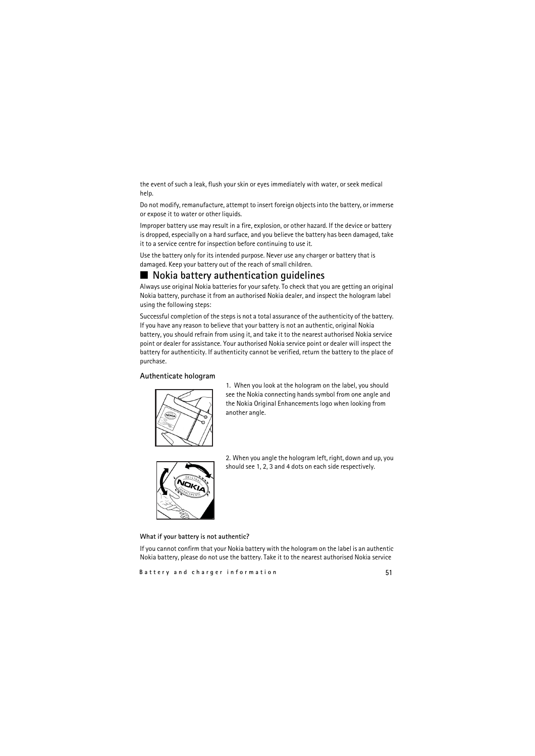the event of such a leak, flush your skin or eyes immediately with water, or seek medical help.

Do not modify, remanufacture, attempt to insert foreign objects into the battery, or immerse or expose it to water or other liquids.

Improper battery use may result in a fire, explosion, or other hazard. If the device or battery is dropped, especially on a hard surface, and you believe the battery has been damaged, take it to a service centre for inspection before continuing to use it.

Use the battery only for its intended purpose. Never use any charger or battery that is damaged. Keep your battery out of the reach of small children.

### <span id="page-50-0"></span>■ **Nokia battery authentication guidelines**

Always use original Nokia batteries for your safety. To check that you are getting an original Nokia battery, purchase it from an authorised Nokia dealer, and inspect the hologram label using the following steps:

<span id="page-50-1"></span>Successful completion of the steps is not a total assurance of the authenticity of the battery. If you have any reason to believe that your battery is not an authentic, original Nokia battery, you should refrain from using it, and take it to the nearest authorised Nokia service point or dealer for assistance. Your authorised Nokia service point or dealer will inspect the battery for authenticity. If authenticity cannot be verified, return the battery to the place of purchase.

#### **Authenticate hologram**



1. When you look at the hologram on the label, you should see the Nokia connecting hands symbol from one angle and the Nokia Original Enhancements logo when looking from another angle.



2. When you angle the hologram left, right, down and up, you should see 1, 2, 3 and 4 dots on each side respectively.

#### **What if your battery is not authentic?**

If you cannot confirm that your Nokia battery with the hologram on the label is an authentic Nokia battery, please do not use the battery. Take it to the nearest authorised Nokia service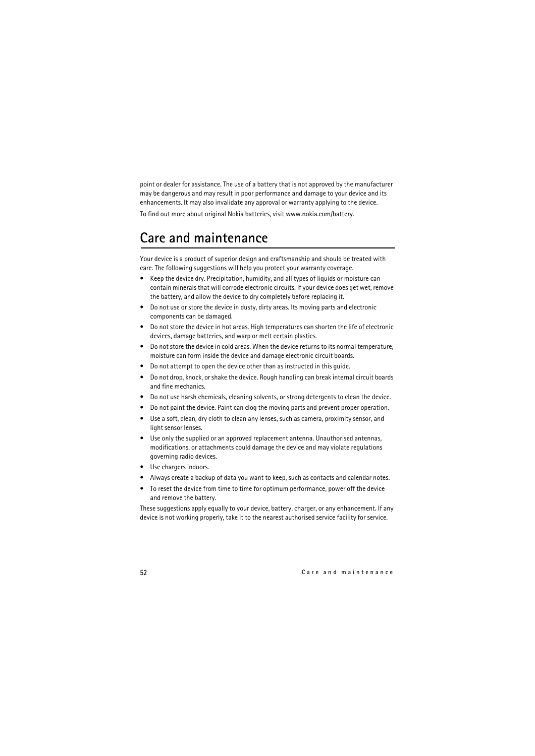point or dealer for assistance. The use of a battery that is not approved by the manufacturer may be dangerous and may result in poor performance and damage to your device and its enhancements. It may also invalidate any approval or warranty applying to the device.

To find out more about original Nokia batteries, visit www.nokia.com/battery.

# <span id="page-51-0"></span>**Care and maintenance**

Your device is a product of superior design and craftsmanship and should be treated with care. The following suggestions will help you protect your warranty coverage.

- Keep the device dry. Precipitation, humidity, and all types of liquids or moisture can contain minerals that will corrode electronic circuits. If your device does get wet, remove the battery, and allow the device to dry completely before replacing it.
- Do not use or store the device in dusty, dirty areas. Its moving parts and electronic components can be damaged.
- Do not store the device in hot areas. High temperatures can shorten the life of electronic devices, damage batteries, and warp or melt certain plastics.
- Do not store the device in cold areas. When the device returns to its normal temperature, moisture can form inside the device and damage electronic circuit boards.
- Do not attempt to open the device other than as instructed in this guide.
- Do not drop, knock, or shake the device. Rough handling can break internal circuit boards and fine mechanics.
- Do not use harsh chemicals, cleaning solvents, or strong detergents to clean the device.
- Do not paint the device. Paint can clog the moving parts and prevent proper operation.
- Use a soft, clean, dry cloth to clean any lenses, such as camera, proximity sensor, and light sensor lenses.
- Use only the supplied or an approved replacement antenna. Unauthorised antennas, modifications, or attachments could damage the device and may violate regulations governing radio devices.
- Use chargers indoors.
- Always create a backup of data you want to keep, such as contacts and calendar notes.
- To reset the device from time to time for optimum performance, power off the device and remove the battery.

These suggestions apply equally to your device, battery, charger, or any enhancement. If any device is not working properly, take it to the nearest authorised service facility for service.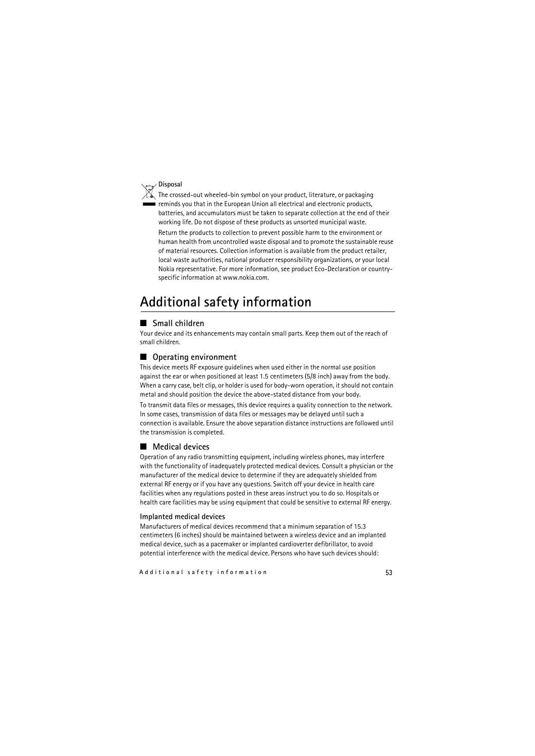#### **Disposal**

The crossed-out wheeled-bin symbol on your product, literature, or packaging reminds you that in the European Union all electrical and electronic products, batteries, and accumulators must be taken to separate collection at the end of their working life. Do not dispose of these products as unsorted municipal waste.

Return the products to collection to prevent possible harm to the environment or human health from uncontrolled waste disposal and to promote the sustainable reuse of material resources. Collection information is available from the product retailer, local waste authorities, national producer responsibility organizations, or your local Nokia representative. For more information, see product Eco-Declaration or countryspecific information at www.nokia.com.

# <span id="page-52-0"></span>**Additional safety information**

#### ■ **Small children**

Your device and its enhancements may contain small parts. Keep them out of the reach of small children.

#### ■ **Operating environment**

This device meets RF exposure guidelines when used either in the normal use position against the ear or when positioned at least 1.5 centimeters (5/8 inch) away from the body. When a carry case, belt clip, or holder is used for body-worn operation, it should not contain metal and should position the device the above-stated distance from your body.

To transmit data files or messages, this device requires a quality connection to the network. In some cases, transmission of data files or messages may be delayed until such a connection is available. Ensure the above separation distance instructions are followed until the transmission is completed.

#### ■ **Medical devices**

Operation of any radio transmitting equipment, including wireless phones, may interfere with the functionality of inadequately protected medical devices. Consult a physician or the manufacturer of the medical device to determine if they are adequately shielded from external RF energy or if you have any questions. Switch off your device in health care facilities when any regulations posted in these areas instruct you to do so. Hospitals or health care facilities may be using equipment that could be sensitive to external RF energy.

#### **Implanted medical devices**

Manufacturers of medical devices recommend that a minimum separation of 15.3 centimeters (6 inches) should be maintained between a wireless device and an implanted medical device, such as a pacemaker or implanted cardioverter defibrillator, to avoid potential interference with the medical device. Persons who have such devices should: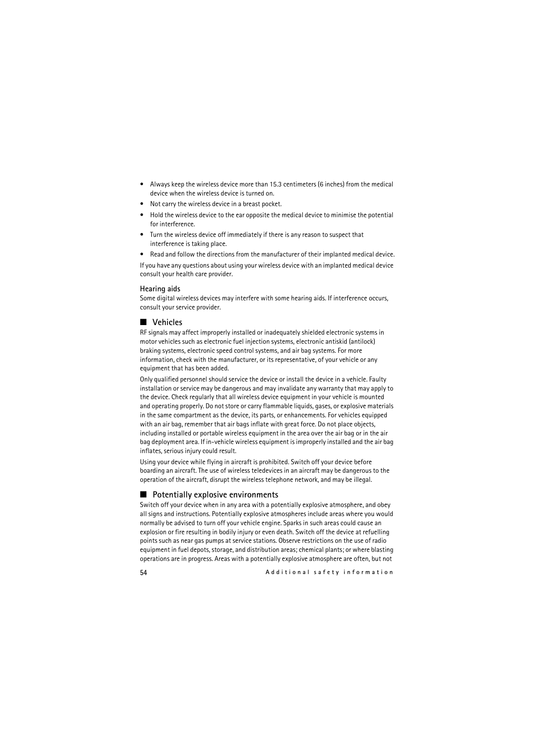- Always keep the wireless device more than 15.3 centimeters (6 inches) from the medical device when the wireless device is turned on.
- Not carry the wireless device in a breast pocket.
- Hold the wireless device to the ear opposite the medical device to minimise the potential for interference.
- Turn the wireless device off immediately if there is any reason to suspect that interference is taking place.
- Read and follow the directions from the manufacturer of their implanted medical device.

If you have any questions about using your wireless device with an implanted medical device consult your health care provider.

#### **Hearing aids**

Some digital wireless devices may interfere with some hearing aids. If interference occurs, consult your service provider.

#### ■ **Vehicles**

RF signals may affect improperly installed or inadequately shielded electronic systems in motor vehicles such as electronic fuel injection systems, electronic antiskid (antilock) braking systems, electronic speed control systems, and air bag systems. For more information, check with the manufacturer, or its representative, of your vehicle or any equipment that has been added.

Only qualified personnel should service the device or install the device in a vehicle. Faulty installation or service may be dangerous and may invalidate any warranty that may apply to the device. Check regularly that all wireless device equipment in your vehicle is mounted and operating properly. Do not store or carry flammable liquids, gases, or explosive materials in the same compartment as the device, its parts, or enhancements. For vehicles equipped with an air bag, remember that air bags inflate with great force. Do not place objects, including installed or portable wireless equipment in the area over the air bag or in the air bag deployment area. If in-vehicle wireless equipment is improperly installed and the air bag inflates, serious injury could result.

Using your device while flying in aircraft is prohibited. Switch off your device before boarding an aircraft. The use of wireless teledevices in an aircraft may be dangerous to the operation of the aircraft, disrupt the wireless telephone network, and may be illegal.

#### ■ **Potentially explosive environments**

Switch off your device when in any area with a potentially explosive atmosphere, and obey all signs and instructions. Potentially explosive atmospheres include areas where you would normally be advised to turn off your vehicle engine. Sparks in such areas could cause an explosion or fire resulting in bodily injury or even death. Switch off the device at refuelling points such as near gas pumps at service stations. Observe restrictions on the use of radio equipment in fuel depots, storage, and distribution areas; chemical plants; or where blasting operations are in progress. Areas with a potentially explosive atmosphere are often, but not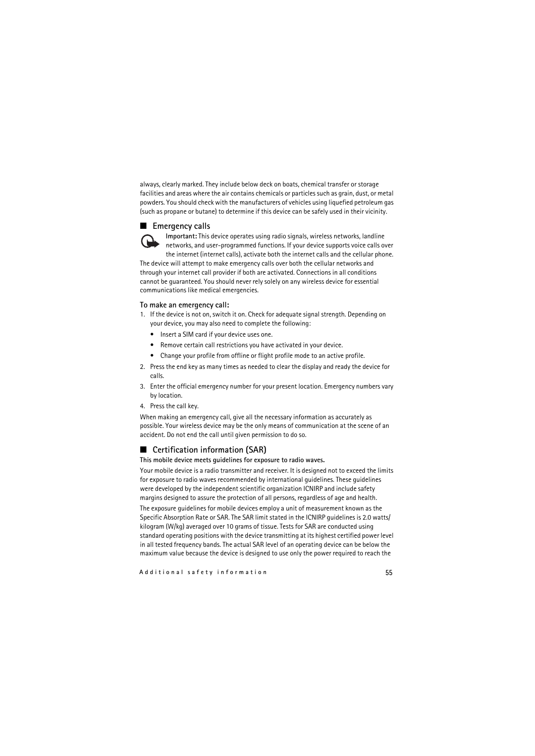always, clearly marked. They include below deck on boats, chemical transfer or storage facilities and areas where the air contains chemicals or particles such as grain, dust, or metal powders. You should check with the manufacturers of vehicles using liquefied petroleum gas (such as propane or butane) to determine if this device can be safely used in their vicinity.

#### ■ **Emergency calls**



**Important:** This device operates using radio signals, wireless networks, landline networks, and user-programmed functions. If your device supports voice calls over the internet (internet calls), activate both the internet calls and the cellular phone. The device will attempt to make emergency calls over both the cellular networks and

through your internet call provider if both are activated. Connections in all conditions cannot be guaranteed. You should never rely solely on any wireless device for essential communications like medical emergencies.

#### **To make an emergency call:**

- 1. If the device is not on, switch it on. Check for adequate signal strength. Depending on your device, you may also need to complete the following:
	- Insert a SIM card if your device uses one.
	- Remove certain call restrictions you have activated in your device.
	- Change your profile from offline or flight profile mode to an active profile.
- 2. Press the end key as many times as needed to clear the display and ready the device for calls.
- 3. Enter the official emergency number for your present location. Emergency numbers vary by location.
- 4. Press the call key.

When making an emergency call, give all the necessary information as accurately as possible. Your wireless device may be the only means of communication at the scene of an accident. Do not end the call until given permission to do so.

#### ■ **Certification information (SAR)**

#### **This mobile device meets guidelines for exposure to radio waves.**

Your mobile device is a radio transmitter and receiver. It is designed not to exceed the limits for exposure to radio waves recommended by international guidelines. These guidelines were developed by the independent scientific organization ICNIRP and include safety margins designed to assure the protection of all persons, regardless of age and health.

The exposure guidelines for mobile devices employ a unit of measurement known as the Specific Absorption Rate or SAR. The SAR limit stated in the ICNIRP guidelines is 2.0 watts/ kilogram (W/kg) averaged over 10 grams of tissue. Tests for SAR are conducted using standard operating positions with the device transmitting at its highest certified power level in all tested frequency bands. The actual SAR level of an operating device can be below the maximum value because the device is designed to use only the power required to reach the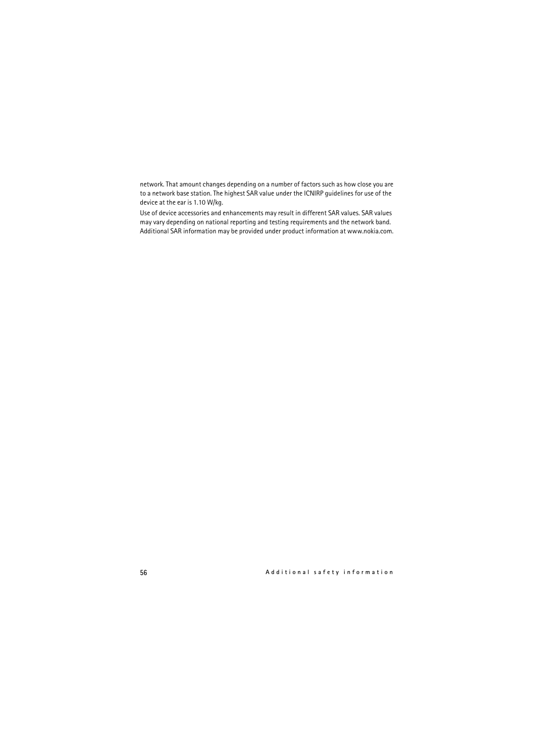network. That amount changes depending on a number of factors such as how close you are to a network base station. The highest SAR value under the ICNIRP guidelines for use of the device at the ear is 1.10 W/kg.

Use of device accessories and enhancements may result in different SAR values. SAR values may vary depending on national reporting and testing requirements and the network band. Additional SAR information may be provided under product information at www.nokia.com.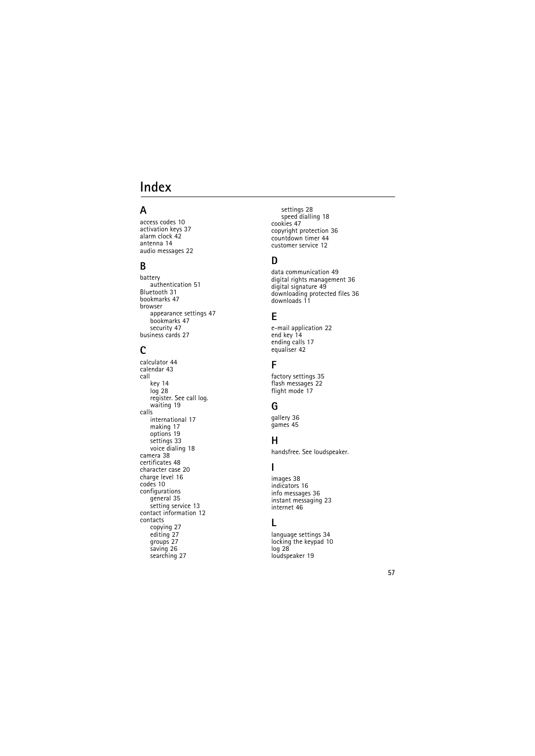# <span id="page-56-0"></span>**Index**

# **A**

access codes [10](#page-9-1) activation keys 37 alarm clock [42](#page-41-4) antenna [14](#page-13-0) audio messages [22](#page-21-0)

### **B**

[battery](#page-11-2) authentication [51](#page-50-1) Bluetooth 31 bookmarks [47](#page-46-1) browser appearance settings [47](#page-46-2) bookmarks [47](#page-46-1) security [47](#page-46-3) business cards [27](#page-26-5)

## **C**

calculator [44](#page-43-1) calendar [43](#page-42-0) call key [14](#page-13-3) log [28](#page-27-1) [register. See call log.](#page-27-1) waiting 19 calls international [17](#page-16-2) making [17](#page-16-2) options [19](#page-18-0) settings [33](#page-32-0) voice dialing [18](#page-17-2) camera 38 certificates 48 character case [20](#page-19-0) charge level 16 codes [10](#page-9-1) [configurations](#page-34-0) general [35](#page-34-0) setting service [13](#page-12-2) contact information [12](#page-11-0) contacts copying [27](#page-26-2) editing [27](#page-26-3) groups [27](#page-26-4) saving [26](#page-25-1) searching [27](#page-26-1)

settings [28](#page-27-0) speed dialling [18](#page-17-1) cookies 47 copyright protection 36 countdown timer [44](#page-43-2) customer service [12](#page-11-0)

## **D**

data communication [49](#page-48-2) digital rights management [36](#page-35-4) digital signature 49 downloadi[ng protected files](#page-10-1) 36 downloads 11

#### **E**

e-mail application [22](#page-21-2) end key [14](#page-13-4) ending calls [17](#page-16-2) equaliser [42](#page-41-0)

#### **F**

factory settings [35](#page-34-1) flash messages [22](#page-21-1) flight mode [17](#page-16-0)

### **G**

gallery [36](#page-35-3) games [45](#page-44-1)

#### **H**

[handsfree. See loudspeaker.](#page-18-0)

#### **I**

images 38 indicators 16 info messages [36](#page-35-1) instant messaging [23](#page-22-0) internet 46

#### **L**

language settings 34 loc[king the keypad](#page-27-1) 10 log 28 loudspeaker [19](#page-18-0)